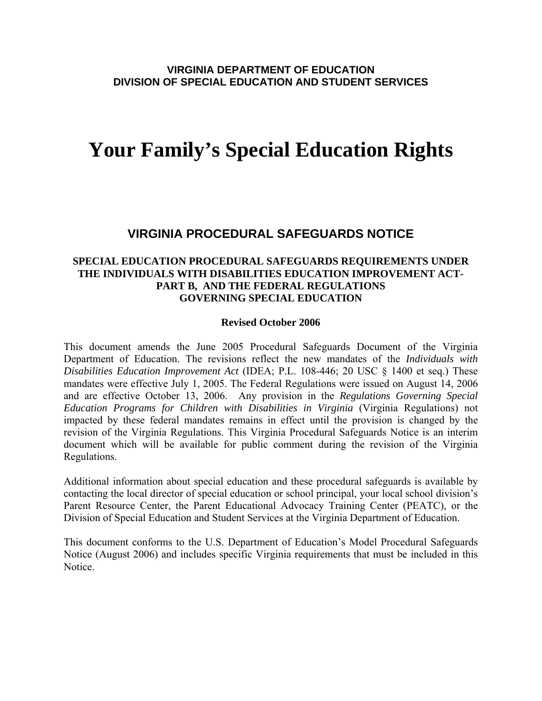# **Your Family's Special Education Rights**

# **VIRGINIA PROCEDURAL SAFEGUARDS NOTICE**

### **SPECIAL EDUCATION PROCEDURAL SAFEGUARDS REQUIREMENTS UNDER THE INDIVIDUALS WITH DISABILITIES EDUCATION IMPROVEMENT ACT-PART B, AND THE FEDERAL REGULATIONS GOVERNING SPECIAL EDUCATION**

#### **Revised October 2006**

This document amends the June 2005 Procedural Safeguards Document of the Virginia Department of Education. The revisions reflect the new mandates of the *Individuals with Disabilities Education Improvement Act* (IDEA; P.L. 108-446; 20 USC § 1400 et seq.) These mandates were effective July 1, 2005. The Federal Regulations were issued on August 14, 2006 and are effective October 13, 2006. Any provision in the *Regulations Governing Special Education Programs for Children with Disabilities in Virginia* (Virginia Regulations) not impacted by these federal mandates remains in effect until the provision is changed by the revision of the Virginia Regulations. This Virginia Procedural Safeguards Notice is an interim document which will be available for public comment during the revision of the Virginia Regulations.

Additional information about special education and these procedural safeguards is available by contacting the local director of special education or school principal, your local school division's Parent Resource Center, the Parent Educational Advocacy Training Center (PEATC), or the Division of Special Education and Student Services at the Virginia Department of Education.

This document conforms to the U.S. Department of Education's Model Procedural Safeguards Notice (August 2006) and includes specific Virginia requirements that must be included in this Notice.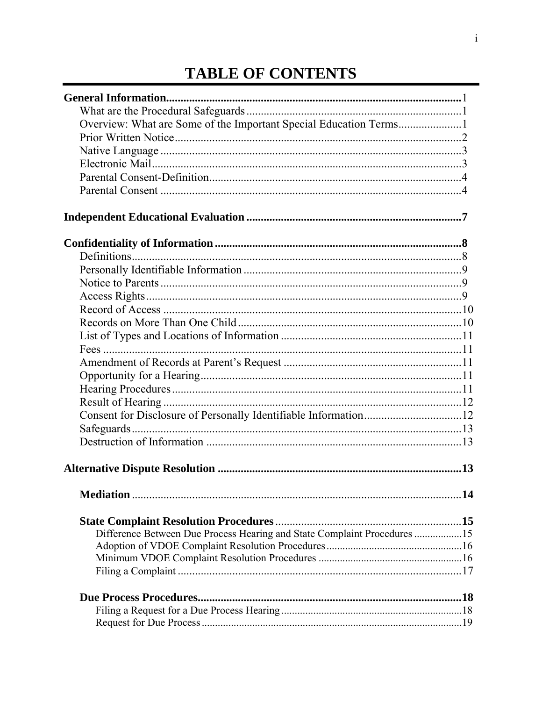# **TABLE OF CONTENTS**

| Overview: What are Some of the Important Special Education Terms1        |    |
|--------------------------------------------------------------------------|----|
|                                                                          |    |
|                                                                          |    |
|                                                                          |    |
|                                                                          |    |
|                                                                          |    |
|                                                                          |    |
|                                                                          |    |
|                                                                          |    |
|                                                                          |    |
|                                                                          |    |
|                                                                          |    |
|                                                                          |    |
|                                                                          |    |
|                                                                          |    |
|                                                                          |    |
|                                                                          |    |
|                                                                          |    |
|                                                                          |    |
|                                                                          |    |
|                                                                          |    |
|                                                                          |    |
|                                                                          |    |
|                                                                          | 13 |
|                                                                          |    |
|                                                                          |    |
| Difference Between Due Process Hearing and State Complaint Procedures 15 |    |
|                                                                          |    |
|                                                                          |    |
|                                                                          |    |
|                                                                          |    |
|                                                                          |    |
|                                                                          |    |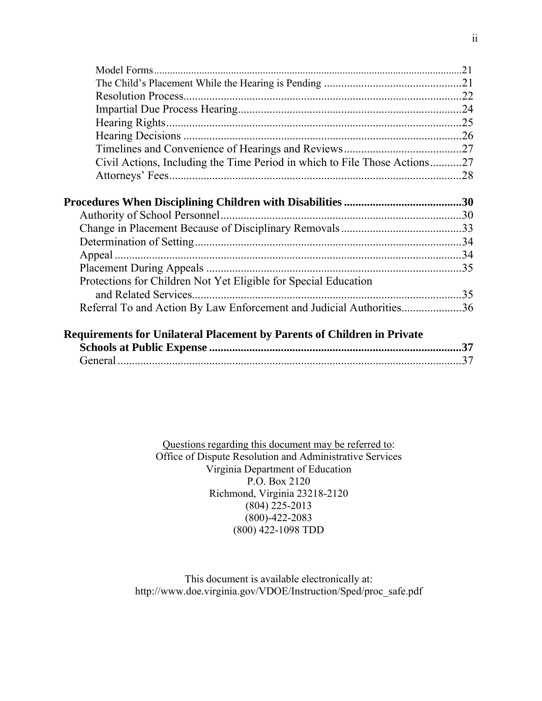| Civil Actions, Including the Time Period in which to File Those Actions27      |     |
|--------------------------------------------------------------------------------|-----|
|                                                                                |     |
|                                                                                |     |
|                                                                                |     |
|                                                                                |     |
|                                                                                |     |
|                                                                                |     |
|                                                                                |     |
|                                                                                |     |
| Protections for Children Not Yet Eligible for Special Education                |     |
|                                                                                |     |
| Referral To and Action By Law Enforcement and Judicial Authorities36           |     |
|                                                                                |     |
| <b>Requirements for Unilateral Placement by Parents of Children in Private</b> |     |
|                                                                                | .37 |
|                                                                                | .37 |

Questions regarding this document may be referred to: Office of Dispute Resolution and Administrative Services Virginia Department of Education P.O. Box 2120 Richmond, Virginia 23218-2120 (804) 225-2013 (800)-422-2083 (800) 422-1098 TDD

This document is available electronically at: http://www.doe.virginia.gov/VDOE/Instruction/Sped/proc\_safe.pdf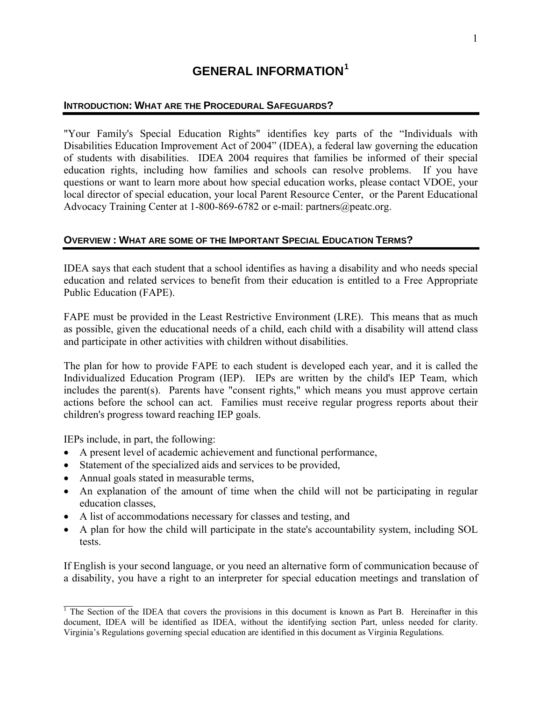# **GENERAL INFORMATION[1](#page-3-1)**

# <span id="page-3-0"></span>**INTRODUCTION: WHAT ARE THE PROCEDURAL SAFEGUARDS?**

"Your Family's Special Education Rights" identifies key parts of the "Individuals with Disabilities Education Improvement Act of 2004" (IDEA), a federal law governing the education of students with disabilities. IDEA 2004 requires that families be informed of their special education rights, including how families and schools can resolve problems. If you have questions or want to learn more about how special education works, please contact VDOE, your local director of special education, your local Parent Resource Center, or the Parent Educational Advocacy Training Center at 1-800-869-6782 or e-mail: partners@peatc.org.

### **OVERVIEW : WHAT ARE SOME OF THE IMPORTANT SPECIAL EDUCATION TERMS?**

IDEA says that each student that a school identifies as having a disability and who needs special education and related services to benefit from their education is entitled to a Free Appropriate Public Education (FAPE).

FAPE must be provided in the Least Restrictive Environment (LRE). This means that as much as possible, given the educational needs of a child, each child with a disability will attend class and participate in other activities with children without disabilities.

The plan for how to provide FAPE to each student is developed each year, and it is called the Individualized Education Program (IEP). IEPs are written by the child's IEP Team, which includes the parent(s). Parents have "consent rights," which means you must approve certain actions before the school can act. Families must receive regular progress reports about their children's progress toward reaching IEP goals.

IEPs include, in part, the following:

 $\mathcal{L}_\text{max}$ 

- A present level of academic achievement and functional performance,
- Statement of the specialized aids and services to be provided,
- Annual goals stated in measurable terms,
- An explanation of the amount of time when the child will not be participating in regular education classes,
- A list of accommodations necessary for classes and testing, and
- A plan for how the child will participate in the state's accountability system, including SOL tests.

If English is your second language, or you need an alternative form of communication because of a disability, you have a right to an interpreter for special education meetings and translation of

<span id="page-3-1"></span><sup>&</sup>lt;sup>1</sup> The Section of the IDEA that covers the provisions in this document is known as Part B. Hereinafter in this document, IDEA will be identified as IDEA, without the identifying section Part, unless needed for clarity. Virginia's Regulations governing special education are identified in this document as Virginia Regulations.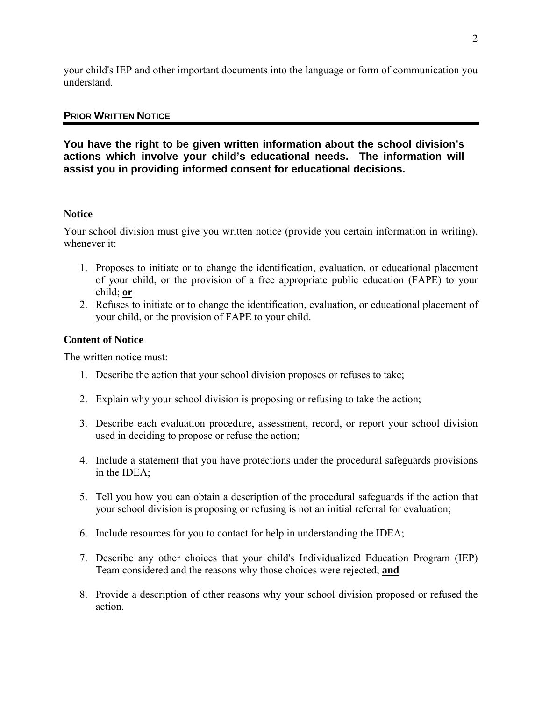<span id="page-4-0"></span>your child's IEP and other important documents into the language or form of communication you understand.

### **PRIOR WRITTEN NOTICE**

**You have the right to be given written information about the school division's actions which involve your child's educational needs. The information will assist you in providing informed consent for educational decisions.** 

#### **Notice**

Your school division must give you written notice (provide you certain information in writing), whenever it:

- 1. Proposes to initiate or to change the identification, evaluation, or educational placement of your child, or the provision of a free appropriate public education (FAPE) to your child; **or**
- 2. Refuses to initiate or to change the identification, evaluation, or educational placement of your child, or the provision of FAPE to your child.

#### **Content of Notice**

The written notice must:

- 1. Describe the action that your school division proposes or refuses to take;
- 2. Explain why your school division is proposing or refusing to take the action;
- 3. Describe each evaluation procedure, assessment, record, or report your school division used in deciding to propose or refuse the action;
- 4. Include a statement that you have protections under the procedural safeguards provisions in the IDEA;
- 5. Tell you how you can obtain a description of the procedural safeguards if the action that your school division is proposing or refusing is not an initial referral for evaluation;
- 6. Include resources for you to contact for help in understanding the IDEA;
- 7. Describe any other choices that your child's Individualized Education Program (IEP) Team considered and the reasons why those choices were rejected; **and**
- 8. Provide a description of other reasons why your school division proposed or refused the action.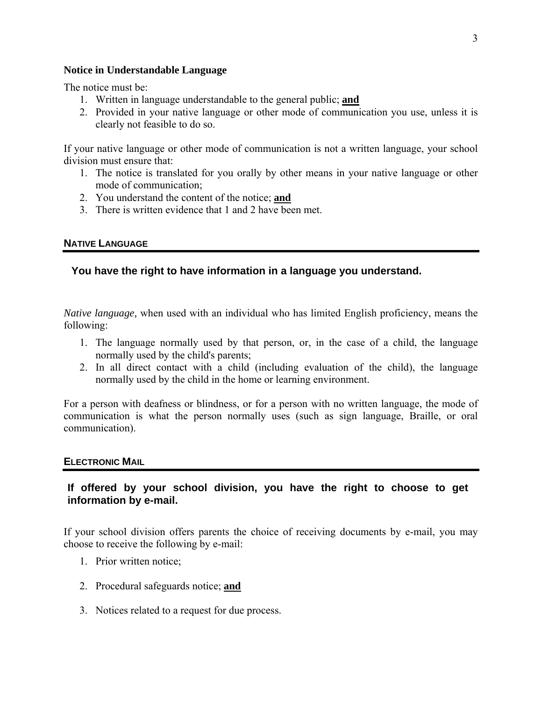#### <span id="page-5-0"></span>**Notice in Understandable Language**

The notice must be:

- 1. Written in language understandable to the general public; **and**
- 2. Provided in your native language or other mode of communication you use, unless it is clearly not feasible to do so.

If your native language or other mode of communication is not a written language, your school division must ensure that:

- 1. The notice is translated for you orally by other means in your native language or other mode of communication;
- 2. You understand the content of the notice; **and**
- 3. There is written evidence that 1 and 2 have been met.

### **NATIVE LANGUAGE**

# **You have the right to have information in a language you understand.**

*Native language,* when used with an individual who has limited English proficiency, means the following:

- 1. The language normally used by that person, or, in the case of a child, the language normally used by the child's parents;
- 2. In all direct contact with a child (including evaluation of the child), the language normally used by the child in the home or learning environment.

For a person with deafness or blindness, or for a person with no written language, the mode of communication is what the person normally uses (such as sign language, Braille, or oral communication).

#### **ELECTRONIC MAIL**

# **If offered by your school division, you have the right to choose to get information by e-mail.**

If your school division offers parents the choice of receiving documents by e-mail, you may choose to receive the following by e-mail:

- 1. Prior written notice;
- 2. Procedural safeguards notice; **and**
- 3. Notices related to a request for due process.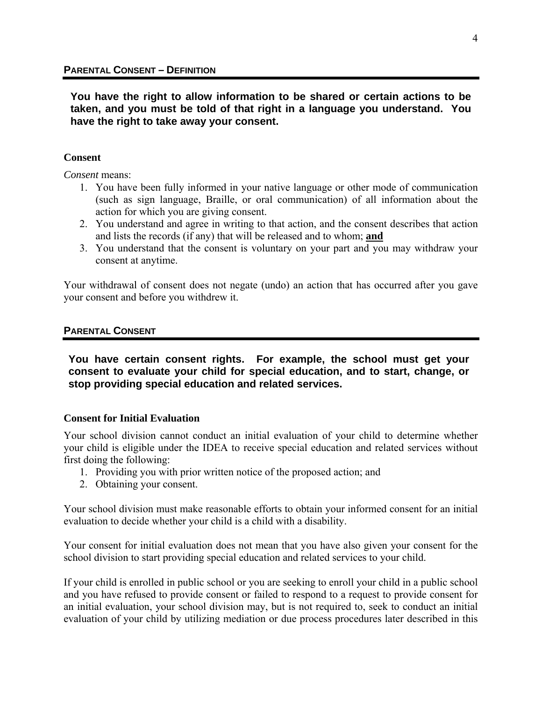<span id="page-6-0"></span>**You have the right to allow information to be shared or certain actions to be taken, and you must be told of that right in a language you understand. You have the right to take away your consent.** 

#### **Consent**

*Consent* means:

- 1. You have been fully informed in your native language or other mode of communication (such as sign language, Braille, or oral communication) of all information about the action for which you are giving consent.
- 2. You understand and agree in writing to that action, and the consent describes that action and lists the records (if any) that will be released and to whom; **and**
- 3. You understand that the consent is voluntary on your part and you may withdraw your consent at anytime.

Your withdrawal of consent does not negate (undo) an action that has occurred after you gave your consent and before you withdrew it.

#### **PARENTAL CONSENT**

**You have certain consent rights. For example, the school must get your consent to evaluate your child for special education, and to start, change, or stop providing special education and related services.** 

#### **Consent for Initial Evaluation**

Your school division cannot conduct an initial evaluation of your child to determine whether your child is eligible under the IDEA to receive special education and related services without first doing the following:

- 1. Providing you with prior written notice of the proposed action; and
- 2. Obtaining your consent.

Your school division must make reasonable efforts to obtain your informed consent for an initial evaluation to decide whether your child is a child with a disability.

Your consent for initial evaluation does not mean that you have also given your consent for the school division to start providing special education and related services to your child.

If your child is enrolled in public school or you are seeking to enroll your child in a public school and you have refused to provide consent or failed to respond to a request to provide consent for an initial evaluation, your school division may, but is not required to, seek to conduct an initial evaluation of your child by utilizing mediation or due process procedures later described in this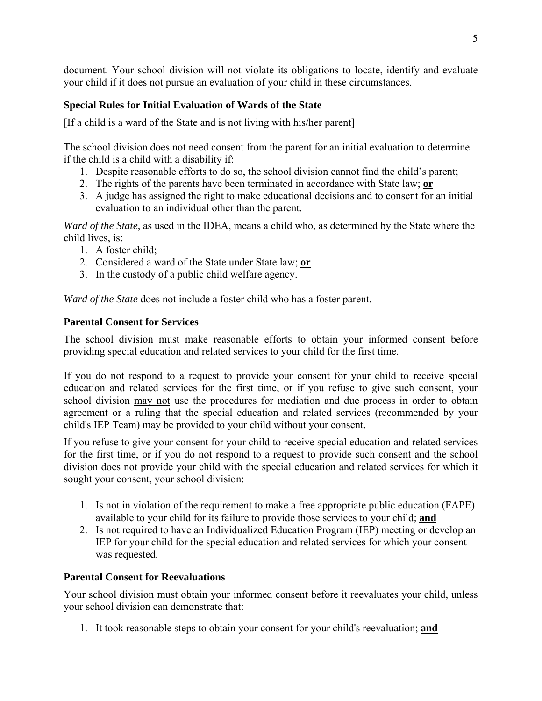document. Your school division will not violate its obligations to locate, identify and evaluate your child if it does not pursue an evaluation of your child in these circumstances.

# **Special Rules for Initial Evaluation of Wards of the State**

[If a child is a ward of the State and is not living with his/her parent]

The school division does not need consent from the parent for an initial evaluation to determine if the child is a child with a disability if:

- 1. Despite reasonable efforts to do so, the school division cannot find the child's parent;
- 2. The rights of the parents have been terminated in accordance with State law; **or**
- 3. A judge has assigned the right to make educational decisions and to consent for an initial evaluation to an individual other than the parent.

*Ward of the State*, as used in the IDEA, means a child who, as determined by the State where the child lives, is:

- 1. A foster child:
- 2. Considered a ward of the State under State law; **or**
- 3. In the custody of a public child welfare agency.

*Ward of the State* does not include a foster child who has a foster parent.

# **Parental Consent for Services**

The school division must make reasonable efforts to obtain your informed consent before providing special education and related services to your child for the first time.

If you do not respond to a request to provide your consent for your child to receive special education and related services for the first time, or if you refuse to give such consent, your school division may not use the procedures for mediation and due process in order to obtain agreement or a ruling that the special education and related services (recommended by your child's IEP Team) may be provided to your child without your consent.

If you refuse to give your consent for your child to receive special education and related services for the first time, or if you do not respond to a request to provide such consent and the school division does not provide your child with the special education and related services for which it sought your consent, your school division:

- 1. Is not in violation of the requirement to make a free appropriate public education (FAPE) available to your child for its failure to provide those services to your child; **and**
- 2. Is not required to have an Individualized Education Program (IEP) meeting or develop an IEP for your child for the special education and related services for which your consent was requested.

# **Parental Consent for Reevaluations**

Your school division must obtain your informed consent before it reevaluates your child, unless your school division can demonstrate that:

1. It took reasonable steps to obtain your consent for your child's reevaluation; **and**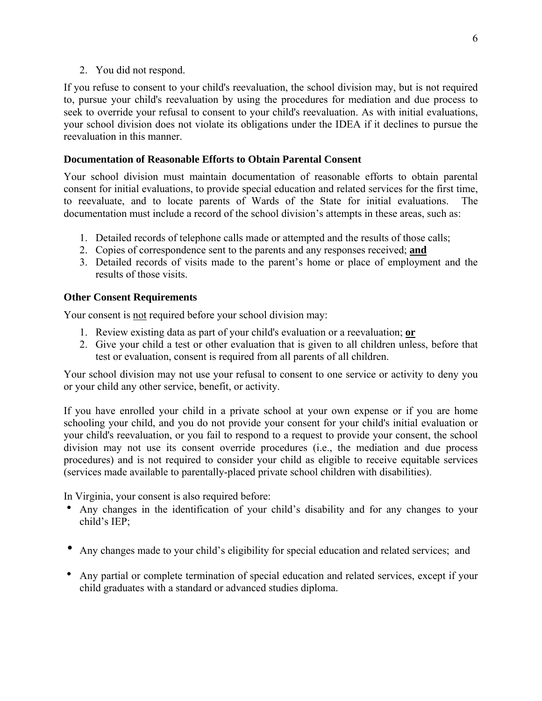#### 2. You did not respond.

If you refuse to consent to your child's reevaluation, the school division may, but is not required to, pursue your child's reevaluation by using the procedures for mediation and due process to seek to override your refusal to consent to your child's reevaluation. As with initial evaluations, your school division does not violate its obligations under the IDEA if it declines to pursue the reevaluation in this manner.

#### **Documentation of Reasonable Efforts to Obtain Parental Consent**

Your school division must maintain documentation of reasonable efforts to obtain parental consent for initial evaluations, to provide special education and related services for the first time, to reevaluate, and to locate parents of Wards of the State for initial evaluations. The documentation must include a record of the school division's attempts in these areas, such as:

- 1. Detailed records of telephone calls made or attempted and the results of those calls;
- 2. Copies of correspondence sent to the parents and any responses received; **and**
- 3. Detailed records of visits made to the parent's home or place of employment and the results of those visits.

# **Other Consent Requirements**

Your consent is not required before your school division may:

- 1. Review existing data as part of your child's evaluation or a reevaluation; **or**
- 2. Give your child a test or other evaluation that is given to all children unless, before that test or evaluation, consent is required from all parents of all children.

Your school division may not use your refusal to consent to one service or activity to deny you or your child any other service, benefit, or activity.

If you have enrolled your child in a private school at your own expense or if you are home schooling your child, and you do not provide your consent for your child's initial evaluation or your child's reevaluation, or you fail to respond to a request to provide your consent, the school division may not use its consent override procedures (i.e., the mediation and due process procedures) and is not required to consider your child as eligible to receive equitable services (services made available to parentally-placed private school children with disabilities).

In Virginia, your consent is also required before:

- Any changes in the identification of your child's disability and for any changes to your child's IEP;
- Any changes made to your child's eligibility for special education and related services; and
- Any partial or complete termination of special education and related services, except if your child graduates with a standard or advanced studies diploma.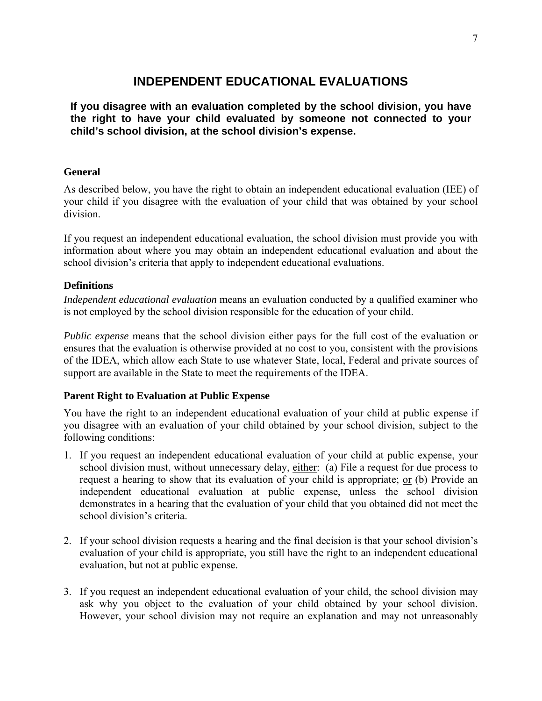# **INDEPENDENT EDUCATIONAL EVALUATIONS**

<span id="page-9-0"></span>**If you disagree with an evaluation completed by the school division, you have the right to have your child evaluated by someone not connected to your child's school division, at the school division's expense.** 

### **General**

As described below, you have the right to obtain an independent educational evaluation (IEE) of your child if you disagree with the evaluation of your child that was obtained by your school division.

If you request an independent educational evaluation, the school division must provide you with information about where you may obtain an independent educational evaluation and about the school division's criteria that apply to independent educational evaluations.

### **Definitions**

*Independent educational evaluation* means an evaluation conducted by a qualified examiner who is not employed by the school division responsible for the education of your child.

*Public expense* means that the school division either pays for the full cost of the evaluation or ensures that the evaluation is otherwise provided at no cost to you, consistent with the provisions of the IDEA, which allow each State to use whatever State, local, Federal and private sources of support are available in the State to meet the requirements of the IDEA.

#### **Parent Right to Evaluation at Public Expense**

You have the right to an independent educational evaluation of your child at public expense if you disagree with an evaluation of your child obtained by your school division, subject to the following conditions:

- 1. If you request an independent educational evaluation of your child at public expense, your school division must, without unnecessary delay, either: (a) File a request for due process to request a hearing to show that its evaluation of your child is appropriate; or (b) Provide an independent educational evaluation at public expense, unless the school division demonstrates in a hearing that the evaluation of your child that you obtained did not meet the school division's criteria.
- 2. If your school division requests a hearing and the final decision is that your school division's evaluation of your child is appropriate, you still have the right to an independent educational evaluation, but not at public expense.
- 3. If you request an independent educational evaluation of your child, the school division may ask why you object to the evaluation of your child obtained by your school division. However, your school division may not require an explanation and may not unreasonably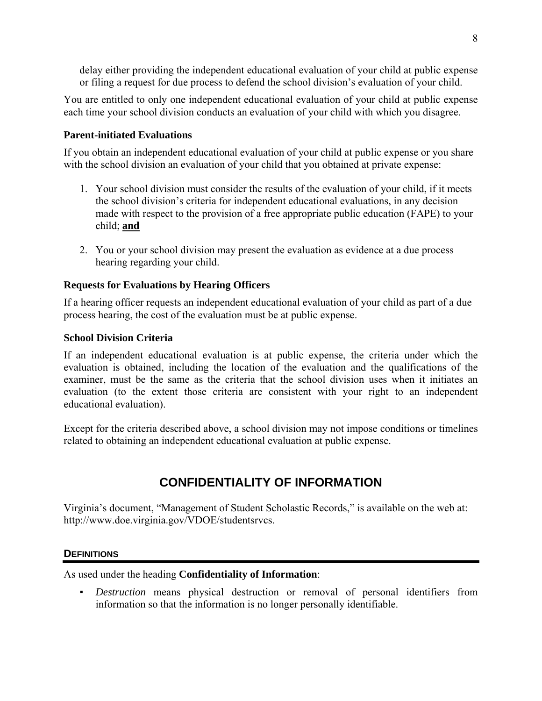<span id="page-10-0"></span>delay either providing the independent educational evaluation of your child at public expense or filing a request for due process to defend the school division's evaluation of your child.

You are entitled to only one independent educational evaluation of your child at public expense each time your school division conducts an evaluation of your child with which you disagree.

# **Parent-initiated Evaluations**

If you obtain an independent educational evaluation of your child at public expense or you share with the school division an evaluation of your child that you obtained at private expense:

- 1. Your school division must consider the results of the evaluation of your child, if it meets the school division's criteria for independent educational evaluations, in any decision made with respect to the provision of a free appropriate public education (FAPE) to your child; **and**
- 2. You or your school division may present the evaluation as evidence at a due process hearing regarding your child.

### **Requests for Evaluations by Hearing Officers**

If a hearing officer requests an independent educational evaluation of your child as part of a due process hearing, the cost of the evaluation must be at public expense.

#### **School Division Criteria**

If an independent educational evaluation is at public expense, the criteria under which the evaluation is obtained, including the location of the evaluation and the qualifications of the examiner, must be the same as the criteria that the school division uses when it initiates an evaluation (to the extent those criteria are consistent with your right to an independent educational evaluation).

Except for the criteria described above, a school division may not impose conditions or timelines related to obtaining an independent educational evaluation at public expense.

# **CONFIDENTIALITY OF INFORMATION**

Virginia's document, "Management of Student Scholastic Records," is available on the web at: http://www.doe.virginia.gov/VDOE/studentsrvcs.

#### **DEFINITIONS**

As used under the heading **Confidentiality of Information**:

▪ *Destruction* means physical destruction or removal of personal identifiers from information so that the information is no longer personally identifiable.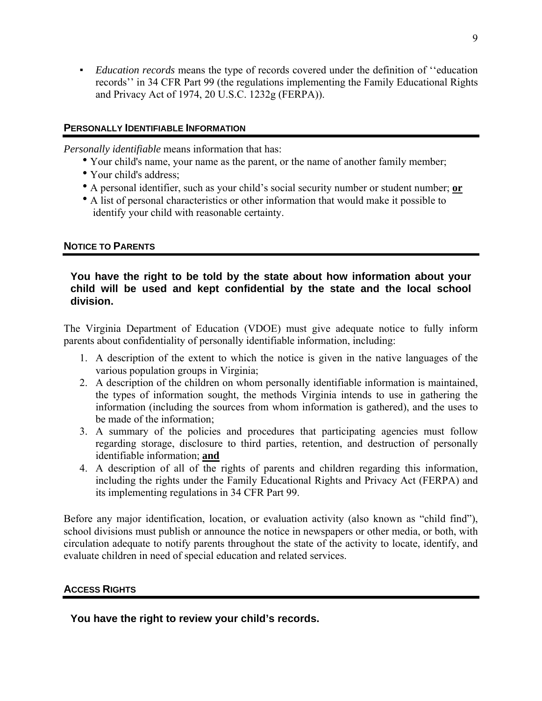<span id="page-11-0"></span>▪ *Education records* means the type of records covered under the definition of ''education records'' in 34 CFR Part 99 (the regulations implementing the Family Educational Rights and Privacy Act of 1974, 20 U.S.C. 1232g (FERPA)).

### **PERSONALLY IDENTIFIABLE INFORMATION**

*Personally identifiable* means information that has:

- Your child's name, your name as the parent, or the name of another family member;
- Your child's address;
- A personal identifier, such as your child's social security number or student number; or
- A list of personal characteristics or other information that would make it possible to identify your child with reasonable certainty.

# **NOTICE TO PARENTS**

## **You have the right to be told by the state about how information about your child will be used and kept confidential by the state and the local school division.**

The Virginia Department of Education (VDOE) must give adequate notice to fully inform parents about confidentiality of personally identifiable information, including:

- 1. A description of the extent to which the notice is given in the native languages of the various population groups in Virginia;
- 2. A description of the children on whom personally identifiable information is maintained, the types of information sought, the methods Virginia intends to use in gathering the information (including the sources from whom information is gathered), and the uses to be made of the information;
- 3. A summary of the policies and procedures that participating agencies must follow regarding storage, disclosure to third parties, retention, and destruction of personally identifiable information; **and**
- 4. A description of all of the rights of parents and children regarding this information, including the rights under the Family Educational Rights and Privacy Act (FERPA) and its implementing regulations in 34 CFR Part 99.

Before any major identification, location, or evaluation activity (also known as "child find"), school divisions must publish or announce the notice in newspapers or other media, or both, with circulation adequate to notify parents throughout the state of the activity to locate, identify, and evaluate children in need of special education and related services.

# **ACCESS RIGHTS**

**You have the right to review your child's records.**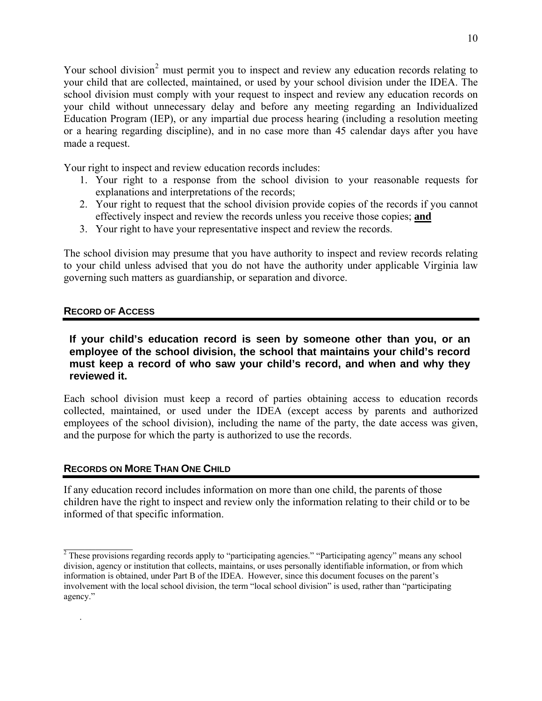<span id="page-12-0"></span>Your school division<sup>[2](#page-12-1)</sup> must permit you to inspect and review any education records relating to your child that are collected, maintained, or used by your school division under the IDEA. The school division must comply with your request to inspect and review any education records on your child without unnecessary delay and before any meeting regarding an Individualized Education Program (IEP), or any impartial due process hearing (including a resolution meeting or a hearing regarding discipline), and in no case more than 45 calendar days after you have made a request.

Your right to inspect and review education records includes:

- 1. Your right to a response from the school division to your reasonable requests for explanations and interpretations of the records;
- 2. Your right to request that the school division provide copies of the records if you cannot effectively inspect and review the records unless you receive those copies; **and**
- 3. Your right to have your representative inspect and review the records.

The school division may presume that you have authority to inspect and review records relating to your child unless advised that you do not have the authority under applicable Virginia law governing such matters as guardianship, or separation and divorce.

### **RECORD OF ACCESS**

 $\frac{1}{2}$ 

.

#### **If your child's education record is seen by someone other than you, or an employee of the school division, the school that maintains your child's record must keep a record of who saw your child's record, and when and why they reviewed it.**

Each school division must keep a record of parties obtaining access to education records collected, maintained, or used under the IDEA (except access by parents and authorized employees of the school division), including the name of the party, the date access was given, and the purpose for which the party is authorized to use the records.

#### **RECORDS ON MORE THAN ONE CHILD**

If any education record includes information on more than one child, the parents of those children have the right to inspect and review only the information relating to their child or to be informed of that specific information.

<span id="page-12-1"></span><sup>&</sup>lt;sup>2</sup> These provisions regarding records apply to "participating agencies." "Participating agency" means any school division, agency or institution that collects, maintains, or uses personally identifiable information, or from which information is obtained, under Part B of the IDEA. However, since this document focuses on the parent's involvement with the local school division, the term "local school division" is used, rather than "participating agency."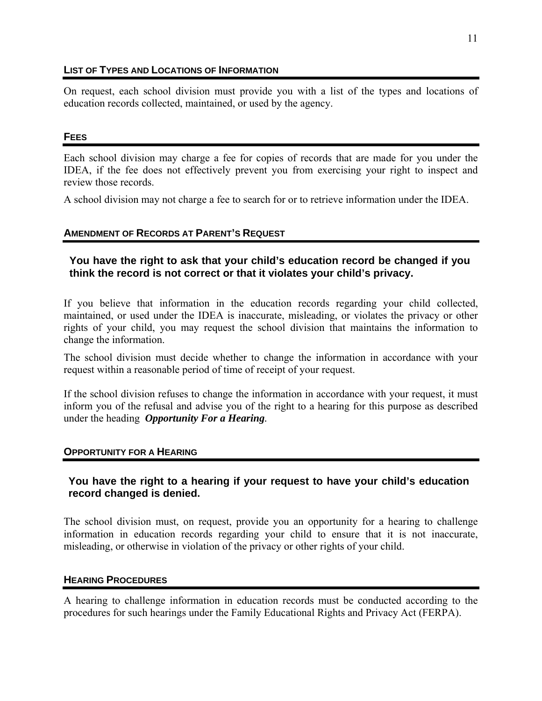#### <span id="page-13-0"></span>**LIST OF TYPES AND LOCATIONS OF INFORMATION**

On request, each school division must provide you with a list of the types and locations of education records collected, maintained, or used by the agency.

#### **FEES**

Each school division may charge a fee for copies of records that are made for you under the IDEA, if the fee does not effectively prevent you from exercising your right to inspect and review those records.

A school division may not charge a fee to search for or to retrieve information under the IDEA.

# **AMENDMENT OF RECORDS AT PARENT'S REQUEST**

# **You have the right to ask that your child's education record be changed if you think the record is not correct or that it violates your child's privacy.**

If you believe that information in the education records regarding your child collected, maintained, or used under the IDEA is inaccurate, misleading, or violates the privacy or other rights of your child, you may request the school division that maintains the information to change the information.

The school division must decide whether to change the information in accordance with your request within a reasonable period of time of receipt of your request.

If the school division refuses to change the information in accordance with your request, it must inform you of the refusal and advise you of the right to a hearing for this purpose as described under the heading *Opportunity For a Hearing.* 

# **OPPORTUNITY FOR A HEARING**

# **You have the right to a hearing if your request to have your child's education record changed is denied.**

The school division must, on request, provide you an opportunity for a hearing to challenge information in education records regarding your child to ensure that it is not inaccurate, misleading, or otherwise in violation of the privacy or other rights of your child.

#### **HEARING PROCEDURES**

A hearing to challenge information in education records must be conducted according to the procedures for such hearings under the Family Educational Rights and Privacy Act (FERPA).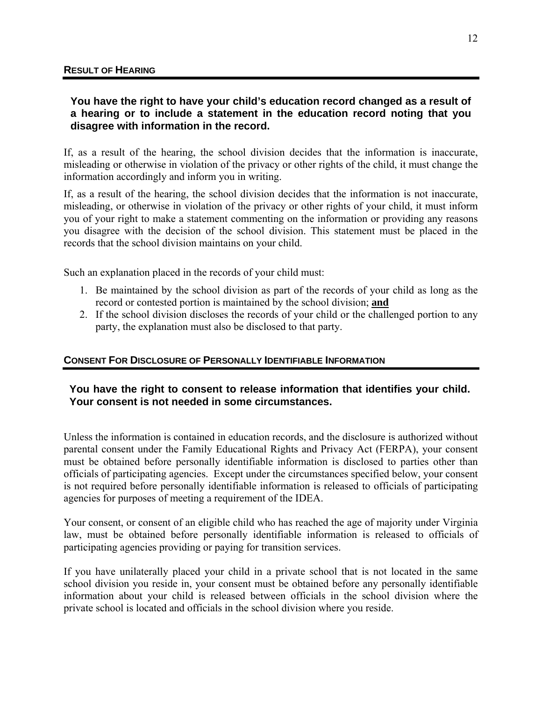# <span id="page-14-0"></span>**You have the right to have your child's education record changed as a result of a hearing or to include a statement in the education record noting that you disagree with information in the record.**

If, as a result of the hearing, the school division decides that the information is inaccurate, misleading or otherwise in violation of the privacy or other rights of the child, it must change the information accordingly and inform you in writing.

If, as a result of the hearing, the school division decides that the information is not inaccurate, misleading, or otherwise in violation of the privacy or other rights of your child, it must inform you of your right to make a statement commenting on the information or providing any reasons you disagree with the decision of the school division. This statement must be placed in the records that the school division maintains on your child.

Such an explanation placed in the records of your child must:

- 1. Be maintained by the school division as part of the records of your child as long as the record or contested portion is maintained by the school division; **and**
- 2. If the school division discloses the records of your child or the challenged portion to any party, the explanation must also be disclosed to that party.

# **CONSENT FOR DISCLOSURE OF PERSONALLY IDENTIFIABLE INFORMATION**

# **You have the right to consent to release information that identifies your child. Your consent is not needed in some circumstances.**

Unless the information is contained in education records, and the disclosure is authorized without parental consent under the Family Educational Rights and Privacy Act (FERPA), your consent must be obtained before personally identifiable information is disclosed to parties other than officials of participating agencies. Except under the circumstances specified below, your consent is not required before personally identifiable information is released to officials of participating agencies for purposes of meeting a requirement of the IDEA.

Your consent, or consent of an eligible child who has reached the age of majority under Virginia law, must be obtained before personally identifiable information is released to officials of participating agencies providing or paying for transition services.

If you have unilaterally placed your child in a private school that is not located in the same school division you reside in, your consent must be obtained before any personally identifiable information about your child is released between officials in the school division where the private school is located and officials in the school division where you reside.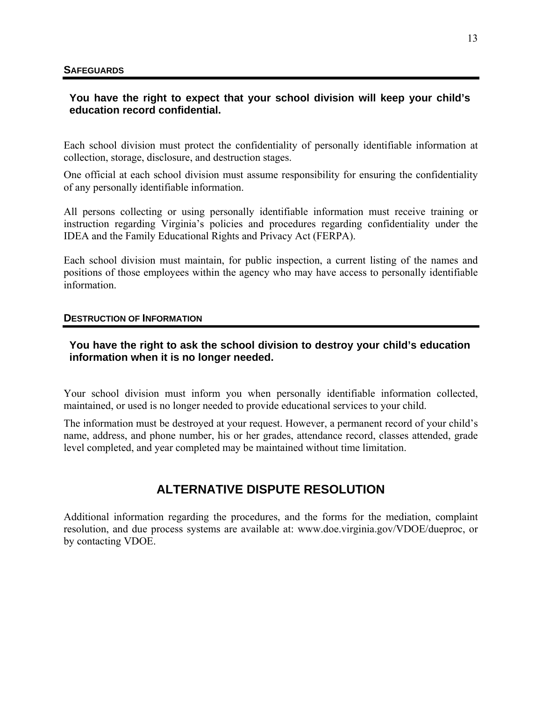## <span id="page-15-0"></span>**You have the right to expect that your school division will keep your child's education record confidential.**

Each school division must protect the confidentiality of personally identifiable information at collection, storage, disclosure, and destruction stages.

One official at each school division must assume responsibility for ensuring the confidentiality of any personally identifiable information.

All persons collecting or using personally identifiable information must receive training or instruction regarding Virginia's policies and procedures regarding confidentiality under the IDEA and the Family Educational Rights and Privacy Act (FERPA).

Each school division must maintain, for public inspection, a current listing of the names and positions of those employees within the agency who may have access to personally identifiable information.

#### **DESTRUCTION OF INFORMATION**

### **You have the right to ask the school division to destroy your child's education information when it is no longer needed.**

Your school division must inform you when personally identifiable information collected, maintained, or used is no longer needed to provide educational services to your child.

The information must be destroyed at your request. However, a permanent record of your child's name, address, and phone number, his or her grades, attendance record, classes attended, grade level completed, and year completed may be maintained without time limitation.

# **ALTERNATIVE DISPUTE RESOLUTION**

Additional information regarding the procedures, and the forms for the mediation, complaint resolution, and due process systems are available at: www.doe.virginia.gov/VDOE/dueproc, or by contacting VDOE.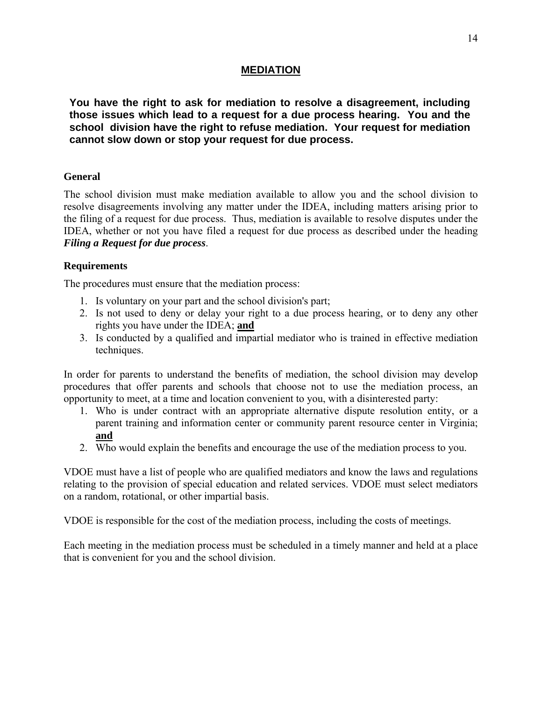# **MEDIATION**

<span id="page-16-0"></span>**You have the right to ask for mediation to resolve a disagreement, including those issues which lead to a request for a due process hearing. You and the school division have the right to refuse mediation. Your request for mediation cannot slow down or stop your request for due process.** 

#### **General**

The school division must make mediation available to allow you and the school division to resolve disagreements involving any matter under the IDEA, including matters arising prior to the filing of a request for due process. Thus, mediation is available to resolve disputes under the IDEA, whether or not you have filed a request for due process as described under the heading *Filing a Request for due process*.

#### **Requirements**

The procedures must ensure that the mediation process:

- 1. Is voluntary on your part and the school division's part;
- 2. Is not used to deny or delay your right to a due process hearing, or to deny any other rights you have under the IDEA; **and**
- 3. Is conducted by a qualified and impartial mediator who is trained in effective mediation techniques.

In order for parents to understand the benefits of mediation, the school division may develop procedures that offer parents and schools that choose not to use the mediation process, an opportunity to meet, at a time and location convenient to you, with a disinterested party:

- 1. Who is under contract with an appropriate alternative dispute resolution entity, or a parent training and information center or community parent resource center in Virginia; **and**
- 2. Who would explain the benefits and encourage the use of the mediation process to you.

VDOE must have a list of people who are qualified mediators and know the laws and regulations relating to the provision of special education and related services. VDOE must select mediators on a random, rotational, or other impartial basis.

VDOE is responsible for the cost of the mediation process, including the costs of meetings.

Each meeting in the mediation process must be scheduled in a timely manner and held at a place that is convenient for you and the school division.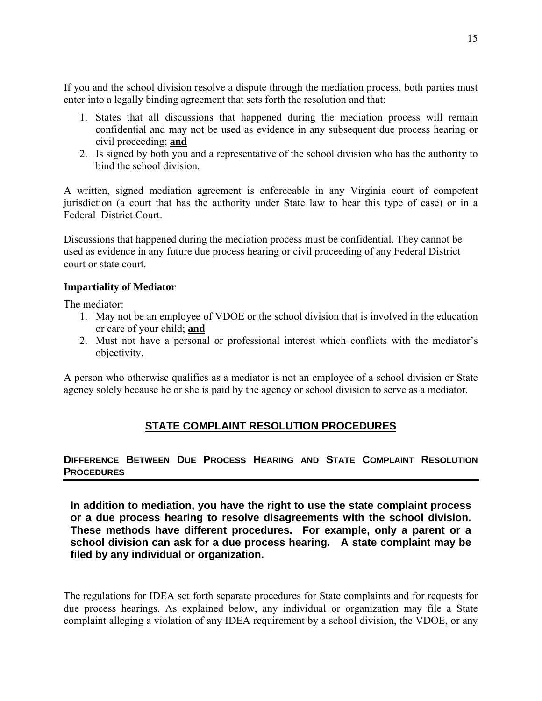<span id="page-17-0"></span>If you and the school division resolve a dispute through the mediation process, both parties must enter into a legally binding agreement that sets forth the resolution and that:

- 1. States that all discussions that happened during the mediation process will remain confidential and may not be used as evidence in any subsequent due process hearing or civil proceeding; **and**
- 2. Is signed by both you and a representative of the school division who has the authority to bind the school division.

A written, signed mediation agreement is enforceable in any Virginia court of competent jurisdiction (a court that has the authority under State law to hear this type of case) or in a Federal District Court.

Discussions that happened during the mediation process must be confidential. They cannot be used as evidence in any future due process hearing or civil proceeding of any Federal District court or state court.

### **Impartiality of Mediator**

The mediator:

- 1. May not be an employee of VDOE or the school division that is involved in the education or care of your child; **and**
- 2. Must not have a personal or professional interest which conflicts with the mediator's objectivity.

A person who otherwise qualifies as a mediator is not an employee of a school division or State agency solely because he or she is paid by the agency or school division to serve as a mediator.

# **STATE COMPLAINT RESOLUTION PROCEDURES**

# **DIFFERENCE BETWEEN DUE PROCESS HEARING AND STATE COMPLAINT RESOLUTION PROCEDURES**

**In addition to mediation, you have the right to use the state complaint process or a due process hearing to resolve disagreements with the school division. These methods have different procedures. For example, only a parent or a school division can ask for a due process hearing. A state complaint may be filed by any individual or organization.** 

The regulations for IDEA set forth separate procedures for State complaints and for requests for due process hearings. As explained below, any individual or organization may file a State complaint alleging a violation of any IDEA requirement by a school division, the VDOE, or any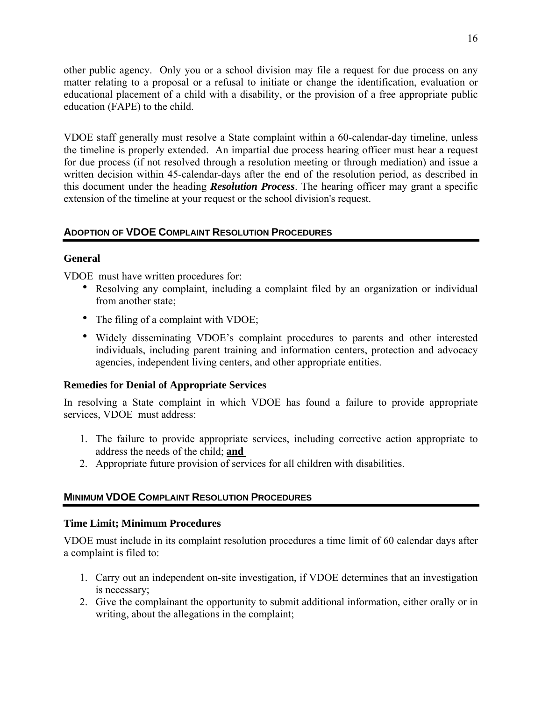<span id="page-18-0"></span>other public agency. Only you or a school division may file a request for due process on any matter relating to a proposal or a refusal to initiate or change the identification, evaluation or educational placement of a child with a disability, or the provision of a free appropriate public education (FAPE) to the child.

VDOE staff generally must resolve a State complaint within a 60-calendar-day timeline, unless the timeline is properly extended. An impartial due process hearing officer must hear a request for due process (if not resolved through a resolution meeting or through mediation) and issue a written decision within 45-calendar-days after the end of the resolution period, as described in this document under the heading *Resolution Process*. The hearing officer may grant a specific extension of the timeline at your request or the school division's request.

# **ADOPTION OF VDOE COMPLAINT RESOLUTION PROCEDURES**

### **General**

VDOE must have written procedures for:

- Resolving any complaint, including a complaint filed by an organization or individual from another state;
- The filing of a complaint with VDOE;
- Widely disseminating VDOE's complaint procedures to parents and other interested individuals, including parent training and information centers, protection and advocacy agencies, independent living centers, and other appropriate entities.

# **Remedies for Denial of Appropriate Services**

In resolving a State complaint in which VDOE has found a failure to provide appropriate services, VDOE must address:

- 1. The failure to provide appropriate services, including corrective action appropriate to address the needs of the child; **and**
- 2. Appropriate future provision of services for all children with disabilities.

# **MINIMUM VDOE COMPLAINT RESOLUTION PROCEDURES**

#### **Time Limit; Minimum Procedures**

VDOE must include in its complaint resolution procedures a time limit of 60 calendar days after a complaint is filed to:

- 1. Carry out an independent on-site investigation, if VDOE determines that an investigation is necessary;
- 2. Give the complainant the opportunity to submit additional information, either orally or in writing, about the allegations in the complaint;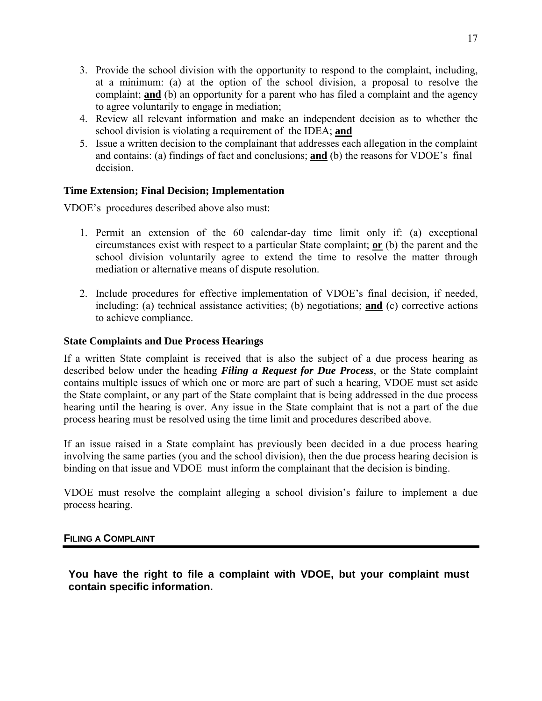- <span id="page-19-0"></span>3. Provide the school division with the opportunity to respond to the complaint, including, at a minimum: (a) at the option of the school division, a proposal to resolve the complaint; **and** (b) an opportunity for a parent who has filed a complaint and the agency to agree voluntarily to engage in mediation;
- 4. Review all relevant information and make an independent decision as to whether the school division is violating a requirement of the IDEA; **and**
- 5. Issue a written decision to the complainant that addresses each allegation in the complaint and contains: (a) findings of fact and conclusions; **and** (b) the reasons for VDOE's final decision.

# **Time Extension; Final Decision; Implementation**

VDOE's procedures described above also must:

- 1. Permit an extension of the 60 calendar-day time limit only if: (a) exceptional circumstances exist with respect to a particular State complaint; **or** (b) the parent and the school division voluntarily agree to extend the time to resolve the matter through mediation or alternative means of dispute resolution.
- 2. Include procedures for effective implementation of VDOE's final decision, if needed, including: (a) technical assistance activities; (b) negotiations; **and** (c) corrective actions to achieve compliance.

#### **State Complaints and Due Process Hearings**

If a written State complaint is received that is also the subject of a due process hearing as described below under the heading *Filing a Request for Due Process*, or the State complaint contains multiple issues of which one or more are part of such a hearing, VDOE must set aside the State complaint, or any part of the State complaint that is being addressed in the due process hearing until the hearing is over. Any issue in the State complaint that is not a part of the due process hearing must be resolved using the time limit and procedures described above.

If an issue raised in a State complaint has previously been decided in a due process hearing involving the same parties (you and the school division), then the due process hearing decision is binding on that issue and VDOE must inform the complainant that the decision is binding.

VDOE must resolve the complaint alleging a school division's failure to implement a due process hearing.

#### **FILING A COMPLAINT**

**You have the right to file a complaint with VDOE, but your complaint must contain specific information.**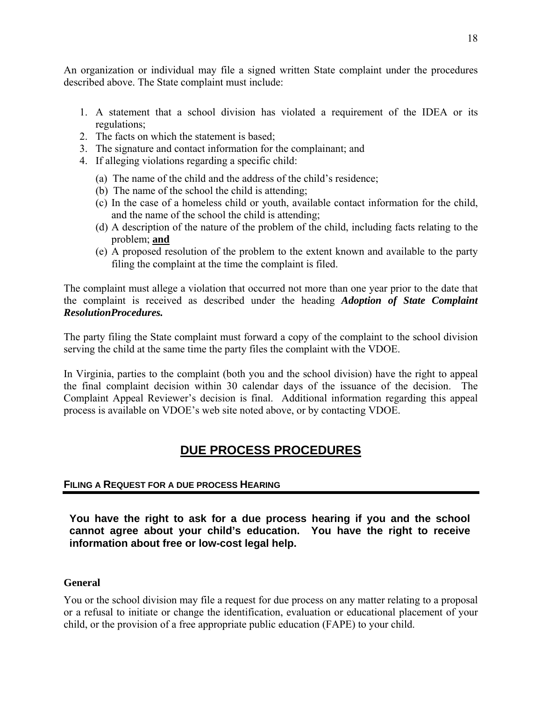<span id="page-20-0"></span>An organization or individual may file a signed written State complaint under the procedures described above. The State complaint must include:

- 1. A statement that a school division has violated a requirement of the IDEA or its regulations;
- 2. The facts on which the statement is based;
- 3. The signature and contact information for the complainant; and
- 4. If alleging violations regarding a specific child:
	- (a) The name of the child and the address of the child's residence;
	- (b) The name of the school the child is attending;
	- (c) In the case of a homeless child or youth, available contact information for the child, and the name of the school the child is attending;
	- (d) A description of the nature of the problem of the child, including facts relating to the problem; **and**
	- (e) A proposed resolution of the problem to the extent known and available to the party filing the complaint at the time the complaint is filed.

The complaint must allege a violation that occurred not more than one year prior to the date that the complaint is received as described under the heading *Adoption of State Complaint ResolutionProcedures.* 

The party filing the State complaint must forward a copy of the complaint to the school division serving the child at the same time the party files the complaint with the VDOE.

In Virginia, parties to the complaint (both you and the school division) have the right to appeal the final complaint decision within 30 calendar days of the issuance of the decision. The Complaint Appeal Reviewer's decision is final. Additional information regarding this appeal process is available on VDOE's web site noted above, or by contacting VDOE.

# **DUE PROCESS PROCEDURES**

# **FILING A REQUEST FOR A DUE PROCESS HEARING**

**You have the right to ask for a due process hearing if you and the school cannot agree about your child's education. You have the right to receive information about free or low-cost legal help.** 

# **General**

You or the school division may file a request for due process on any matter relating to a proposal or a refusal to initiate or change the identification, evaluation or educational placement of your child, or the provision of a free appropriate public education (FAPE) to your child.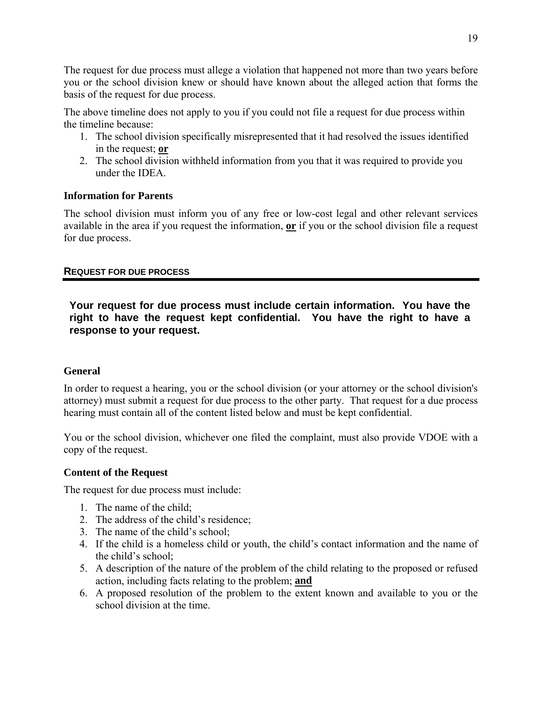<span id="page-21-0"></span>The request for due process must allege a violation that happened not more than two years before you or the school division knew or should have known about the alleged action that forms the basis of the request for due process.

The above timeline does not apply to you if you could not file a request for due process within the timeline because:

- 1. The school division specifically misrepresented that it had resolved the issues identified in the request; **or**
- 2. The school division withheld information from you that it was required to provide you under the IDEA.

### **Information for Parents**

The school division must inform you of any free or low-cost legal and other relevant services available in the area if you request the information, **or** if you or the school division file a request for due process.

### **REQUEST FOR DUE PROCESS**

**Your request for due process must include certain information. You have the right to have the request kept confidential. You have the right to have a response to your request.** 

#### **General**

In order to request a hearing, you or the school division (or your attorney or the school division's attorney) must submit a request for due process to the other party. That request for a due process hearing must contain all of the content listed below and must be kept confidential.

You or the school division, whichever one filed the complaint, must also provide VDOE with a copy of the request.

#### **Content of the Request**

The request for due process must include:

- 1. The name of the child;
- 2. The address of the child's residence;
- 3. The name of the child's school;
- 4. If the child is a homeless child or youth, the child's contact information and the name of the child's school;
- 5. A description of the nature of the problem of the child relating to the proposed or refused action, including facts relating to the problem; **and**
- 6. A proposed resolution of the problem to the extent known and available to you or the school division at the time.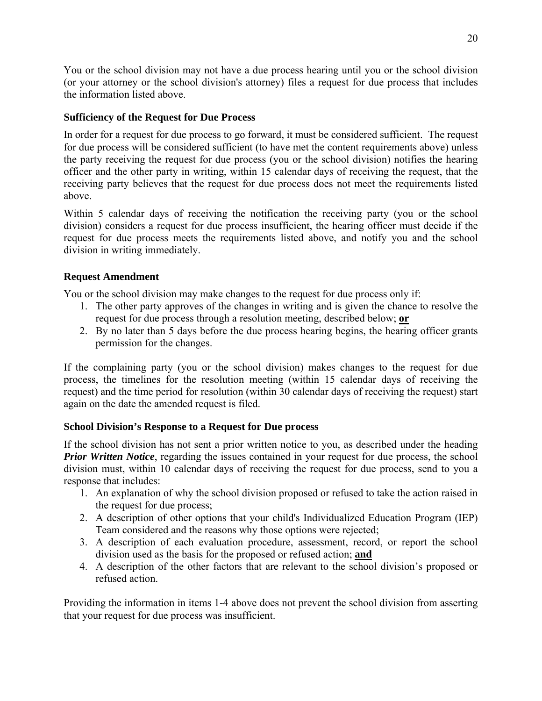You or the school division may not have a due process hearing until you or the school division (or your attorney or the school division's attorney) files a request for due process that includes the information listed above.

# **Sufficiency of the Request for Due Process**

In order for a request for due process to go forward, it must be considered sufficient. The request for due process will be considered sufficient (to have met the content requirements above) unless the party receiving the request for due process (you or the school division) notifies the hearing officer and the other party in writing, within 15 calendar days of receiving the request, that the receiving party believes that the request for due process does not meet the requirements listed above.

Within 5 calendar days of receiving the notification the receiving party (you or the school division) considers a request for due process insufficient, the hearing officer must decide if the request for due process meets the requirements listed above, and notify you and the school division in writing immediately.

# **Request Amendment**

You or the school division may make changes to the request for due process only if:

- 1. The other party approves of the changes in writing and is given the chance to resolve the request for due process through a resolution meeting, described below; **or**
- 2. By no later than 5 days before the due process hearing begins, the hearing officer grants permission for the changes.

If the complaining party (you or the school division) makes changes to the request for due process, the timelines for the resolution meeting (within 15 calendar days of receiving the request) and the time period for resolution (within 30 calendar days of receiving the request) start again on the date the amended request is filed.

# **School Division's Response to a Request for Due process**

If the school division has not sent a prior written notice to you, as described under the heading *Prior Written Notice*, regarding the issues contained in your request for due process, the school division must, within 10 calendar days of receiving the request for due process, send to you a response that includes:

- 1. An explanation of why the school division proposed or refused to take the action raised in the request for due process;
- 2. A description of other options that your child's Individualized Education Program (IEP) Team considered and the reasons why those options were rejected;
- 3. A description of each evaluation procedure, assessment, record, or report the school division used as the basis for the proposed or refused action; **and**
- 4. A description of the other factors that are relevant to the school division's proposed or refused action.

Providing the information in items 1-4 above does not prevent the school division from asserting that your request for due process was insufficient.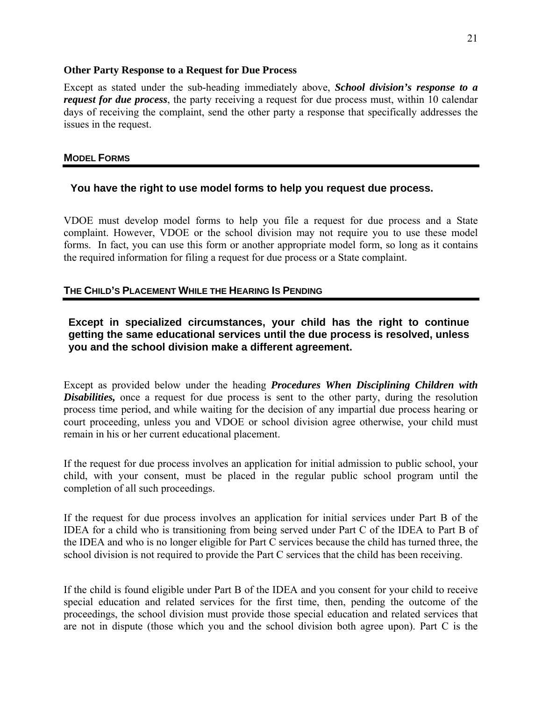#### <span id="page-23-0"></span>**Other Party Response to a Request for Due Process**

Except as stated under the sub-heading immediately above, *School division's response to a request for due process*, the party receiving a request for due process must, within 10 calendar days of receiving the complaint, send the other party a response that specifically addresses the issues in the request.

### **MODEL FORMS**

# **You have the right to use model forms to help you request due process.**

VDOE must develop model forms to help you file a request for due process and a State complaint. However, VDOE or the school division may not require you to use these model forms. In fact, you can use this form or another appropriate model form, so long as it contains the required information for filing a request for due process or a State complaint.

# **THE CHILD'S PLACEMENT WHILE THE HEARING IS PENDING**

# **Except in specialized circumstances, your child has the right to continue getting the same educational services until the due process is resolved, unless you and the school division make a different agreement.**

Except as provided below under the heading *Procedures When Disciplining Children with Disabilities*, once a request for due process is sent to the other party, during the resolution process time period, and while waiting for the decision of any impartial due process hearing or court proceeding, unless you and VDOE or school division agree otherwise, your child must remain in his or her current educational placement.

If the request for due process involves an application for initial admission to public school, your child, with your consent, must be placed in the regular public school program until the completion of all such proceedings.

If the request for due process involves an application for initial services under Part B of the IDEA for a child who is transitioning from being served under Part C of the IDEA to Part B of the IDEA and who is no longer eligible for Part C services because the child has turned three, the school division is not required to provide the Part C services that the child has been receiving.

If the child is found eligible under Part B of the IDEA and you consent for your child to receive special education and related services for the first time, then, pending the outcome of the proceedings, the school division must provide those special education and related services that are not in dispute (those which you and the school division both agree upon). Part C is the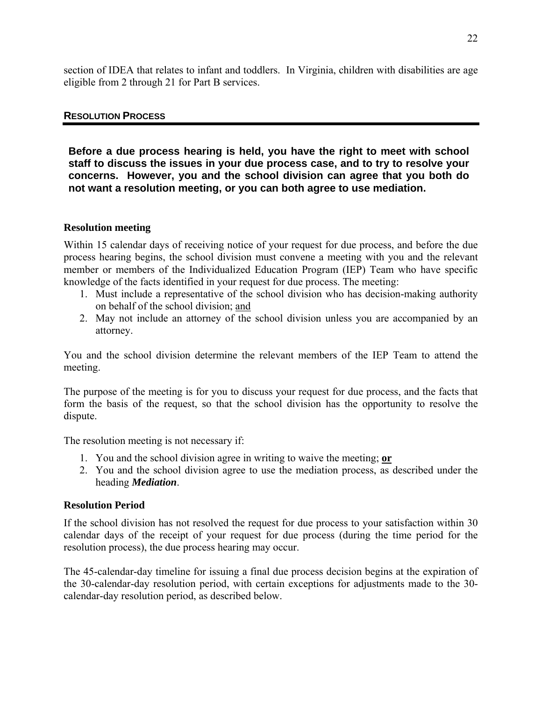<span id="page-24-0"></span>section of IDEA that relates to infant and toddlers. In Virginia, children with disabilities are age eligible from 2 through 21 for Part B services.

#### **RESOLUTION PROCESS**

**Before a due process hearing is held, you have the right to meet with school staff to discuss the issues in your due process case, and to try to resolve your concerns. However, you and the school division can agree that you both do not want a resolution meeting, or you can both agree to use mediation.** 

#### **Resolution meeting**

Within 15 calendar days of receiving notice of your request for due process, and before the due process hearing begins, the school division must convene a meeting with you and the relevant member or members of the Individualized Education Program (IEP) Team who have specific knowledge of the facts identified in your request for due process. The meeting:

- 1. Must include a representative of the school division who has decision-making authority on behalf of the school division; and
- 2. May not include an attorney of the school division unless you are accompanied by an attorney.

You and the school division determine the relevant members of the IEP Team to attend the meeting.

The purpose of the meeting is for you to discuss your request for due process, and the facts that form the basis of the request, so that the school division has the opportunity to resolve the dispute.

The resolution meeting is not necessary if:

- 1. You and the school division agree in writing to waive the meeting; **or**
- 2. You and the school division agree to use the mediation process, as described under the heading *Mediation*.

#### **Resolution Period**

If the school division has not resolved the request for due process to your satisfaction within 30 calendar days of the receipt of your request for due process (during the time period for the resolution process), the due process hearing may occur.

The 45-calendar-day timeline for issuing a final due process decision begins at the expiration of the 30-calendar-day resolution period, with certain exceptions for adjustments made to the 30 calendar-day resolution period, as described below.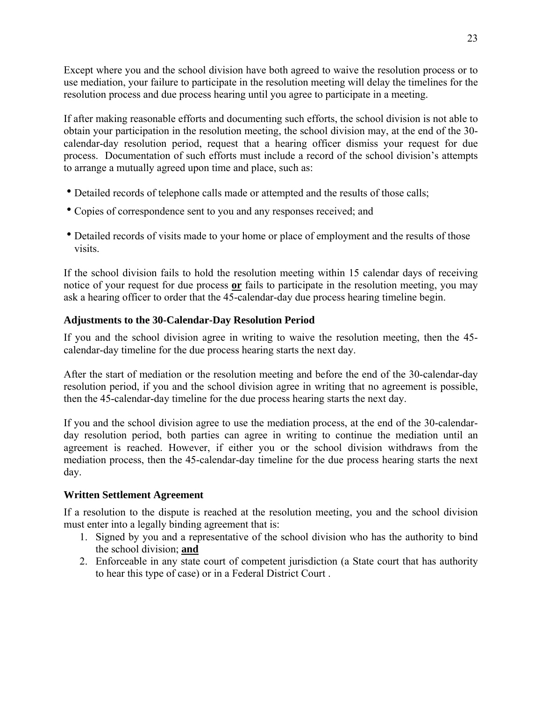Except where you and the school division have both agreed to waive the resolution process or to use mediation, your failure to participate in the resolution meeting will delay the timelines for the resolution process and due process hearing until you agree to participate in a meeting.

If after making reasonable efforts and documenting such efforts, the school division is not able to obtain your participation in the resolution meeting, the school division may, at the end of the 30 calendar-day resolution period, request that a hearing officer dismiss your request for due process. Documentation of such efforts must include a record of the school division's attempts to arrange a mutually agreed upon time and place, such as:

- Detailed records of telephone calls made or attempted and the results of those calls;
- Copies of correspondence sent to you and any responses received; and
- Detailed records of visits made to your home or place of employment and the results of those visits.

If the school division fails to hold the resolution meeting within 15 calendar days of receiving notice of your request for due process **or** fails to participate in the resolution meeting, you may ask a hearing officer to order that the 45-calendar-day due process hearing timeline begin.

# **Adjustments to the 30-Calendar-Day Resolution Period**

If you and the school division agree in writing to waive the resolution meeting, then the 45 calendar-day timeline for the due process hearing starts the next day.

After the start of mediation or the resolution meeting and before the end of the 30-calendar-day resolution period, if you and the school division agree in writing that no agreement is possible, then the 45-calendar-day timeline for the due process hearing starts the next day.

If you and the school division agree to use the mediation process, at the end of the 30-calendarday resolution period, both parties can agree in writing to continue the mediation until an agreement is reached. However, if either you or the school division withdraws from the mediation process, then the 45-calendar-day timeline for the due process hearing starts the next day.

# **Written Settlement Agreement**

If a resolution to the dispute is reached at the resolution meeting, you and the school division must enter into a legally binding agreement that is:

- 1. Signed by you and a representative of the school division who has the authority to bind the school division; **and**
- 2. Enforceable in any state court of competent jurisdiction (a State court that has authority to hear this type of case) or in a Federal District Court .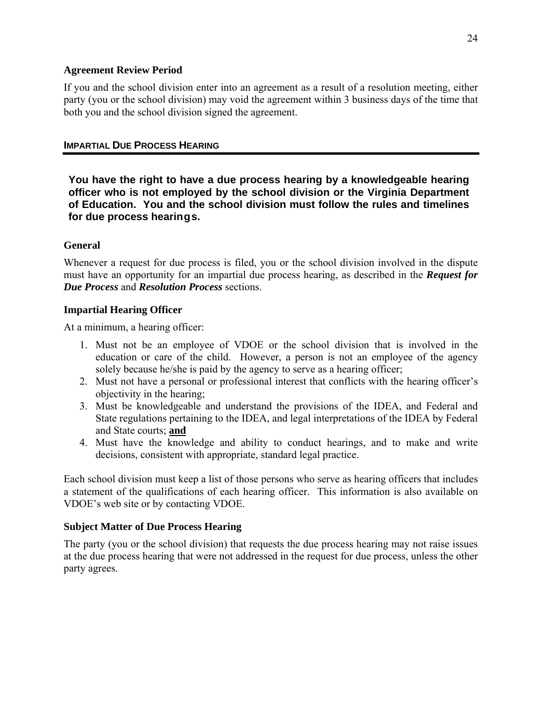#### <span id="page-26-0"></span>**Agreement Review Period**

If you and the school division enter into an agreement as a result of a resolution meeting, either party (you or the school division) may void the agreement within 3 business days of the time that both you and the school division signed the agreement.

#### **IMPARTIAL DUE PROCESS HEARING**

**You have the right to have a due process hearing by a knowledgeable hearing officer who is not employed by the school division or the Virginia Department of Education. You and the school division must follow the rules and timelines for due process hearings.** 

### **General**

Whenever a request for due process is filed, you or the school division involved in the dispute must have an opportunity for an impartial due process hearing, as described in the *Request for Due Process* and *Resolution Process* sections.

### **Impartial Hearing Officer**

At a minimum, a hearing officer:

- 1. Must not be an employee of VDOE or the school division that is involved in the education or care of the child. However, a person is not an employee of the agency solely because he/she is paid by the agency to serve as a hearing officer;
- 2. Must not have a personal or professional interest that conflicts with the hearing officer's objectivity in the hearing;
- 3. Must be knowledgeable and understand the provisions of the IDEA, and Federal and State regulations pertaining to the IDEA, and legal interpretations of the IDEA by Federal and State courts; **and**
- 4. Must have the knowledge and ability to conduct hearings, and to make and write decisions, consistent with appropriate, standard legal practice.

Each school division must keep a list of those persons who serve as hearing officers that includes a statement of the qualifications of each hearing officer. This information is also available on VDOE's web site or by contacting VDOE.

#### **Subject Matter of Due Process Hearing**

The party (you or the school division) that requests the due process hearing may not raise issues at the due process hearing that were not addressed in the request for due process, unless the other party agrees.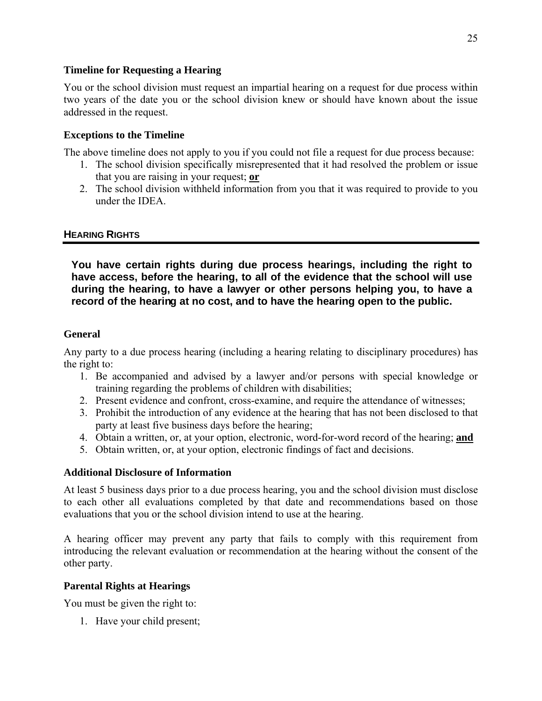#### <span id="page-27-0"></span>**Timeline for Requesting a Hearing**

You or the school division must request an impartial hearing on a request for due process within two years of the date you or the school division knew or should have known about the issue addressed in the request.

# **Exceptions to the Timeline**

The above timeline does not apply to you if you could not file a request for due process because:

- 1. The school division specifically misrepresented that it had resolved the problem or issue that you are raising in your request; **or**
- 2. The school division withheld information from you that it was required to provide to you under the IDEA.

# **HEARING RIGHTS**

**You have certain rights during due process hearings, including the right to have access, before the hearing, to all of the evidence that the school will use during the hearing, to have a lawyer or other persons helping you, to have a record of the hearing at no cost, and to have the hearing open to the public.**

### **General**

Any party to a due process hearing (including a hearing relating to disciplinary procedures) has the right to:

- 1. Be accompanied and advised by a lawyer and/or persons with special knowledge or training regarding the problems of children with disabilities;
- 2. Present evidence and confront, cross-examine, and require the attendance of witnesses;
- 3. Prohibit the introduction of any evidence at the hearing that has not been disclosed to that party at least five business days before the hearing;
- 4. Obtain a written, or, at your option, electronic, word-for-word record of the hearing; **and**
- 5. Obtain written, or, at your option, electronic findings of fact and decisions.

#### **Additional Disclosure of Information**

At least 5 business days prior to a due process hearing, you and the school division must disclose to each other all evaluations completed by that date and recommendations based on those evaluations that you or the school division intend to use at the hearing.

A hearing officer may prevent any party that fails to comply with this requirement from introducing the relevant evaluation or recommendation at the hearing without the consent of the other party.

# **Parental Rights at Hearings**

You must be given the right to:

1. Have your child present;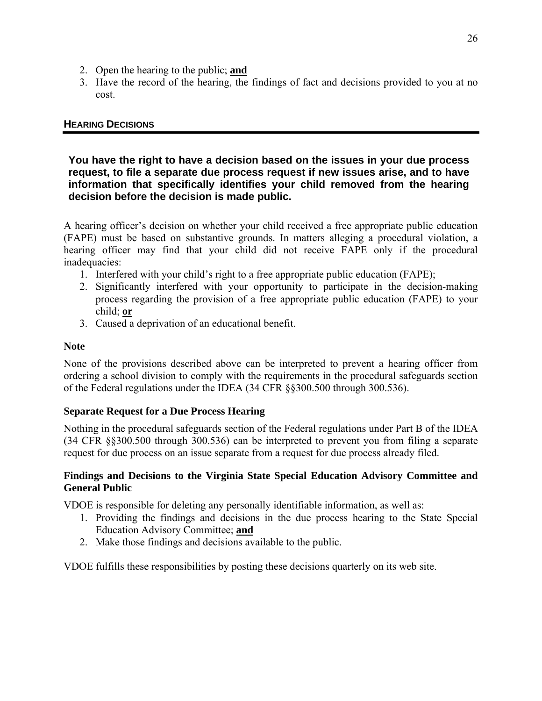- <span id="page-28-0"></span>2. Open the hearing to the public; **and**
- 3. Have the record of the hearing, the findings of fact and decisions provided to you at no cost.

# **HEARING DECISIONS**

#### **You have the right to have a decision based on the issues in your due process request, to file a separate due process request if new issues arise, and to have information that specifically identifies your child removed from the hearing decision before the decision is made public.**

A hearing officer's decision on whether your child received a free appropriate public education (FAPE) must be based on substantive grounds. In matters alleging a procedural violation, a hearing officer may find that your child did not receive FAPE only if the procedural inadequacies:

- 1. Interfered with your child's right to a free appropriate public education (FAPE);
- 2. Significantly interfered with your opportunity to participate in the decision-making process regarding the provision of a free appropriate public education (FAPE) to your child; **or**
- 3. Caused a deprivation of an educational benefit.

# **Note**

None of the provisions described above can be interpreted to prevent a hearing officer from ordering a school division to comply with the requirements in the procedural safeguards section of the Federal regulations under the IDEA (34 CFR §§300.500 through 300.536).

# **Separate Request for a Due Process Hearing**

Nothing in the procedural safeguards section of the Federal regulations under Part B of the IDEA (34 CFR §§300.500 through 300.536) can be interpreted to prevent you from filing a separate request for due process on an issue separate from a request for due process already filed.

### **Findings and Decisions to the Virginia State Special Education Advisory Committee and General Public**

VDOE is responsible for deleting any personally identifiable information, as well as:

- 1. Providing the findings and decisions in the due process hearing to the State Special Education Advisory Committee; **and**
- 2. Make those findings and decisions available to the public.

VDOE fulfills these responsibilities by posting these decisions quarterly on its web site.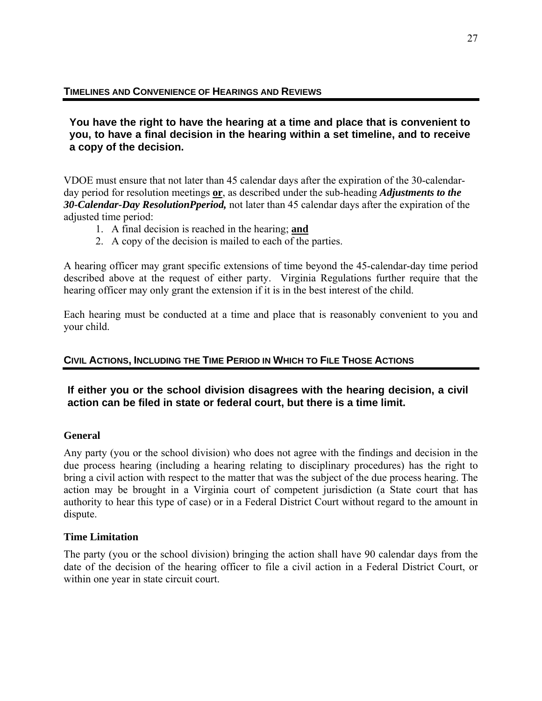<span id="page-29-0"></span>**You have the right to have the hearing at a time and place that is convenient to you, to have a final decision in the hearing within a set timeline, and to receive a copy of the decision.** 

VDOE must ensure that not later than 45 calendar days after the expiration of the 30-calendarday period for resolution meetings **or**, as described under the sub-heading *Adjustments to the 30-Calendar-Day ResolutionPperiod,* not later than 45 calendar days after the expiration of the adjusted time period:

- 1. A final decision is reached in the hearing; **and**
- 2. A copy of the decision is mailed to each of the parties.

A hearing officer may grant specific extensions of time beyond the 45-calendar-day time period described above at the request of either party. Virginia Regulations further require that the hearing officer may only grant the extension if it is in the best interest of the child.

Each hearing must be conducted at a time and place that is reasonably convenient to you and your child.

# **CIVIL ACTIONS, INCLUDING THE TIME PERIOD IN WHICH TO FILE THOSE ACTIONS**

# **If either you or the school division disagrees with the hearing decision, a civil action can be filed in state or federal court, but there is a time limit.**

# **General**

Any party (you or the school division) who does not agree with the findings and decision in the due process hearing (including a hearing relating to disciplinary procedures) has the right to bring a civil action with respect to the matter that was the subject of the due process hearing. The action may be brought in a Virginia court of competent jurisdiction (a State court that has authority to hear this type of case) or in a Federal District Court without regard to the amount in dispute.

# **Time Limitation**

The party (you or the school division) bringing the action shall have 90 calendar days from the date of the decision of the hearing officer to file a civil action in a Federal District Court, or within one year in state circuit court.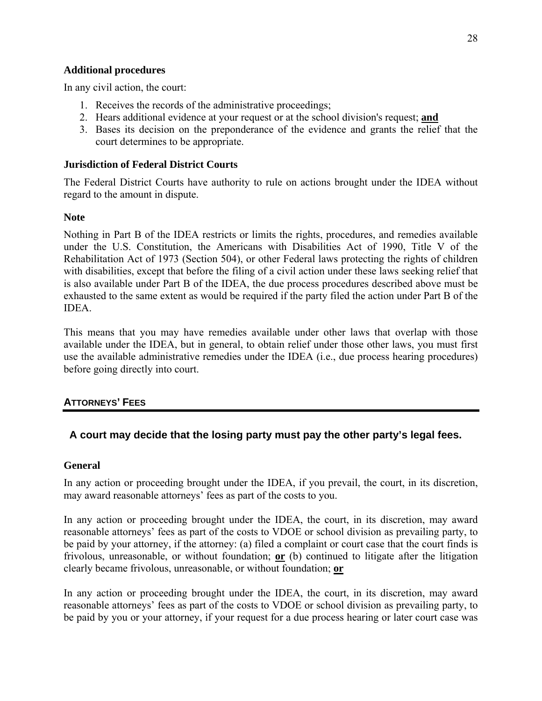#### <span id="page-30-0"></span>**Additional procedures**

In any civil action, the court:

- 1. Receives the records of the administrative proceedings;
- 2. Hears additional evidence at your request or at the school division's request; **and**
- 3. Bases its decision on the preponderance of the evidence and grants the relief that the court determines to be appropriate.

#### **Jurisdiction of Federal District Courts**

The Federal District Courts have authority to rule on actions brought under the IDEA without regard to the amount in dispute.

#### **Note**

Nothing in Part B of the IDEA restricts or limits the rights, procedures, and remedies available under the U.S. Constitution, the Americans with Disabilities Act of 1990, Title V of the Rehabilitation Act of 1973 (Section 504), or other Federal laws protecting the rights of children with disabilities, except that before the filing of a civil action under these laws seeking relief that is also available under Part B of the IDEA, the due process procedures described above must be exhausted to the same extent as would be required if the party filed the action under Part B of the IDEA.

This means that you may have remedies available under other laws that overlap with those available under the IDEA, but in general, to obtain relief under those other laws, you must first use the available administrative remedies under the IDEA (i.e., due process hearing procedures) before going directly into court.

# **ATTORNEYS' FEES**

# **A court may decide that the losing party must pay the other party's legal fees.**

#### **General**

In any action or proceeding brought under the IDEA, if you prevail, the court, in its discretion, may award reasonable attorneys' fees as part of the costs to you.

In any action or proceeding brought under the IDEA, the court, in its discretion, may award reasonable attorneys' fees as part of the costs to VDOE or school division as prevailing party, to be paid by your attorney, if the attorney: (a) filed a complaint or court case that the court finds is frivolous, unreasonable, or without foundation; **or** (b) continued to litigate after the litigation clearly became frivolous, unreasonable, or without foundation; **or**

In any action or proceeding brought under the IDEA, the court, in its discretion, may award reasonable attorneys' fees as part of the costs to VDOE or school division as prevailing party, to be paid by you or your attorney, if your request for a due process hearing or later court case was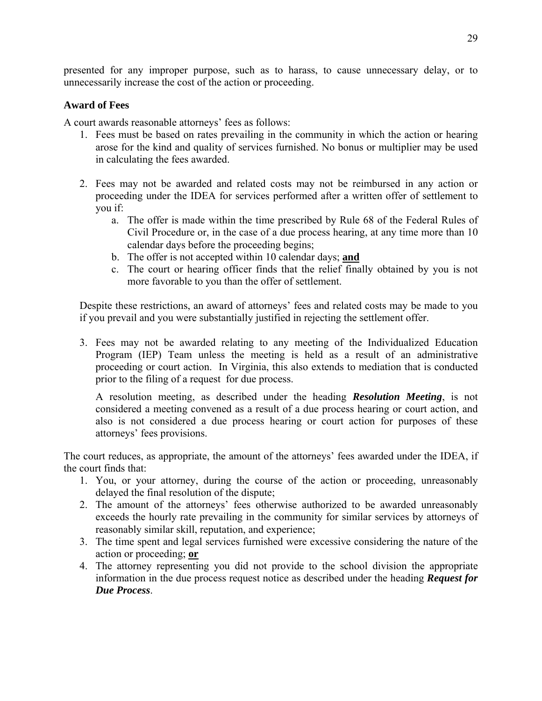presented for any improper purpose, such as to harass, to cause unnecessary delay, or to unnecessarily increase the cost of the action or proceeding.

# **Award of Fees**

A court awards reasonable attorneys' fees as follows:

- 1. Fees must be based on rates prevailing in the community in which the action or hearing arose for the kind and quality of services furnished. No bonus or multiplier may be used in calculating the fees awarded.
- 2. Fees may not be awarded and related costs may not be reimbursed in any action or proceeding under the IDEA for services performed after a written offer of settlement to you if:
	- a. The offer is made within the time prescribed by Rule 68 of the Federal Rules of Civil Procedure or, in the case of a due process hearing, at any time more than 10 calendar days before the proceeding begins;
	- b. The offer is not accepted within 10 calendar days; **and**
	- c. The court or hearing officer finds that the relief finally obtained by you is not more favorable to you than the offer of settlement.

Despite these restrictions, an award of attorneys' fees and related costs may be made to you if you prevail and you were substantially justified in rejecting the settlement offer.

3. Fees may not be awarded relating to any meeting of the Individualized Education Program (IEP) Team unless the meeting is held as a result of an administrative proceeding or court action. In Virginia, this also extends to mediation that is conducted prior to the filing of a request for due process.

A resolution meeting, as described under the heading *Resolution Meeting*, is not considered a meeting convened as a result of a due process hearing or court action, and also is not considered a due process hearing or court action for purposes of these attorneys' fees provisions.

The court reduces, as appropriate, the amount of the attorneys' fees awarded under the IDEA, if the court finds that:

- 1. You, or your attorney, during the course of the action or proceeding, unreasonably delayed the final resolution of the dispute;
- 2. The amount of the attorneys' fees otherwise authorized to be awarded unreasonably exceeds the hourly rate prevailing in the community for similar services by attorneys of reasonably similar skill, reputation, and experience;
- 3. The time spent and legal services furnished were excessive considering the nature of the action or proceeding; **or**
- 4. The attorney representing you did not provide to the school division the appropriate information in the due process request notice as described under the heading *Request for Due Process*.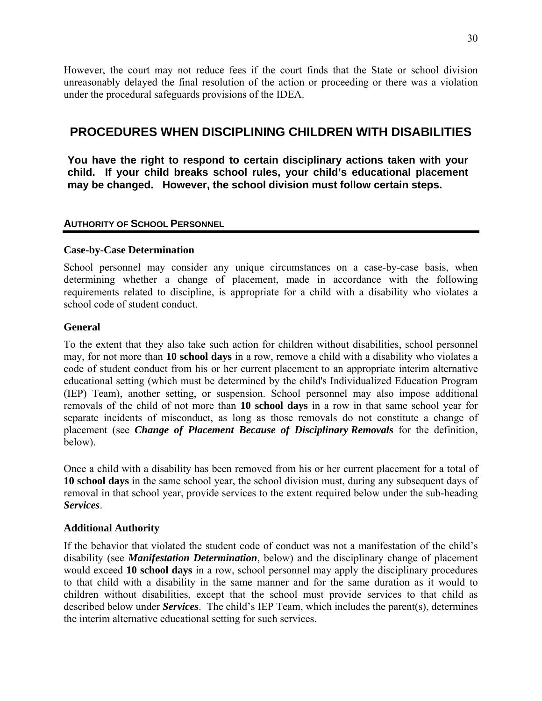<span id="page-32-0"></span>However, the court may not reduce fees if the court finds that the State or school division unreasonably delayed the final resolution of the action or proceeding or there was a violation under the procedural safeguards provisions of the IDEA.

# **PROCEDURES WHEN DISCIPLINING CHILDREN WITH DISABILITIES**

**You have the right to respond to certain disciplinary actions taken with your child. If your child breaks school rules, your child's educational placement may be changed. However, the school division must follow certain steps.** 

### **AUTHORITY OF SCHOOL PERSONNEL**

### **Case-by-Case Determination**

School personnel may consider any unique circumstances on a case-by-case basis, when determining whether a change of placement, made in accordance with the following requirements related to discipline, is appropriate for a child with a disability who violates a school code of student conduct.

### **General**

To the extent that they also take such action for children without disabilities, school personnel may, for not more than **10 school days** in a row, remove a child with a disability who violates a code of student conduct from his or her current placement to an appropriate interim alternative educational setting (which must be determined by the child's Individualized Education Program (IEP) Team), another setting, or suspension. School personnel may also impose additional removals of the child of not more than **10 school days** in a row in that same school year for separate incidents of misconduct, as long as those removals do not constitute a change of placement (see *Change of Placement Because of Disciplinary Removals* for the definition, below).

Once a child with a disability has been removed from his or her current placement for a total of **10 school days** in the same school year, the school division must, during any subsequent days of removal in that school year, provide services to the extent required below under the sub-heading *Services*.

# **Additional Authority**

If the behavior that violated the student code of conduct was not a manifestation of the child's disability (see *Manifestation Determination*, below) and the disciplinary change of placement would exceed **10 school days** in a row, school personnel may apply the disciplinary procedures to that child with a disability in the same manner and for the same duration as it would to children without disabilities, except that the school must provide services to that child as described below under *Services*. The child's IEP Team, which includes the parent(s), determines the interim alternative educational setting for such services.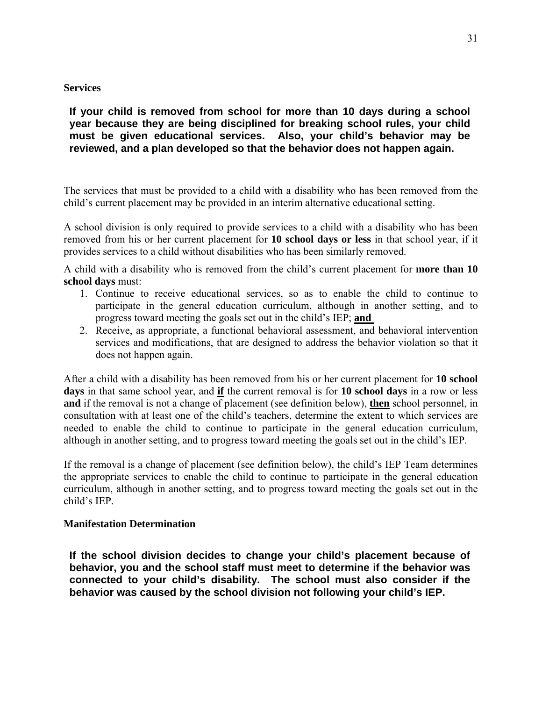#### **Services**

# **If your child is removed from school for more than 10 days during a school year because they are being disciplined for breaking school rules, your child must be given educational services. Also, your child's behavior may be reviewed, and a plan developed so that the behavior does not happen again.**

The services that must be provided to a child with a disability who has been removed from the child's current placement may be provided in an interim alternative educational setting.

A school division is only required to provide services to a child with a disability who has been removed from his or her current placement for **10 school days or less** in that school year, if it provides services to a child without disabilities who has been similarly removed.

A child with a disability who is removed from the child's current placement for **more than 10 school days** must:

- 1. Continue to receive educational services, so as to enable the child to continue to participate in the general education curriculum, although in another setting, and to progress toward meeting the goals set out in the child's IEP; **and**
- 2. Receive, as appropriate, a functional behavioral assessment, and behavioral intervention services and modifications, that are designed to address the behavior violation so that it does not happen again.

After a child with a disability has been removed from his or her current placement for **10 school days** in that same school year, and **if** the current removal is for **10 school days** in a row or less **and** if the removal is not a change of placement (see definition below), **then** school personnel, in consultation with at least one of the child's teachers, determine the extent to which services are needed to enable the child to continue to participate in the general education curriculum, although in another setting, and to progress toward meeting the goals set out in the child's IEP.

If the removal is a change of placement (see definition below), the child's IEP Team determines the appropriate services to enable the child to continue to participate in the general education curriculum, although in another setting, and to progress toward meeting the goals set out in the child's IEP.

#### **Manifestation Determination**

**If the school division decides to change your child's placement because of behavior, you and the school staff must meet to determine if the behavior was connected to your child's disability. The school must also consider if the behavior was caused by the school division not following your child's IEP.**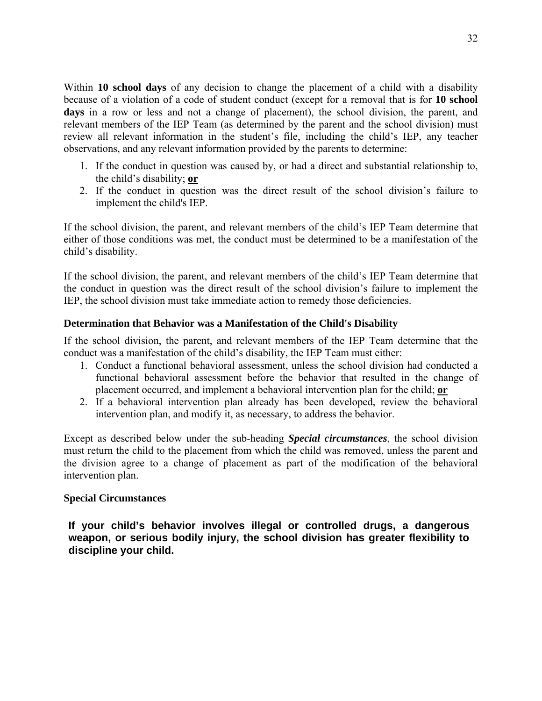Within **10 school days** of any decision to change the placement of a child with a disability because of a violation of a code of student conduct (except for a removal that is for **10 school days** in a row or less and not a change of placement), the school division, the parent, and relevant members of the IEP Team (as determined by the parent and the school division) must review all relevant information in the student's file, including the child's IEP, any teacher observations, and any relevant information provided by the parents to determine:

- 1. If the conduct in question was caused by, or had a direct and substantial relationship to, the child's disability; **or**
- 2. If the conduct in question was the direct result of the school division's failure to implement the child's IEP.

If the school division, the parent, and relevant members of the child's IEP Team determine that either of those conditions was met, the conduct must be determined to be a manifestation of the child's disability.

If the school division, the parent, and relevant members of the child's IEP Team determine that the conduct in question was the direct result of the school division's failure to implement the IEP, the school division must take immediate action to remedy those deficiencies.

#### **Determination that Behavior was a Manifestation of the Child's Disability**

If the school division, the parent, and relevant members of the IEP Team determine that the conduct was a manifestation of the child's disability, the IEP Team must either:

- 1. Conduct a functional behavioral assessment, unless the school division had conducted a functional behavioral assessment before the behavior that resulted in the change of placement occurred, and implement a behavioral intervention plan for the child; **or**
- 2. If a behavioral intervention plan already has been developed, review the behavioral intervention plan, and modify it, as necessary, to address the behavior.

Except as described below under the sub-heading *Special circumstances*, the school division must return the child to the placement from which the child was removed, unless the parent and the division agree to a change of placement as part of the modification of the behavioral intervention plan.

#### **Special Circumstances**

**If your child's behavior involves illegal or controlled drugs, a dangerous weapon, or serious bodily injury, the school division has greater flexibility to discipline your child.**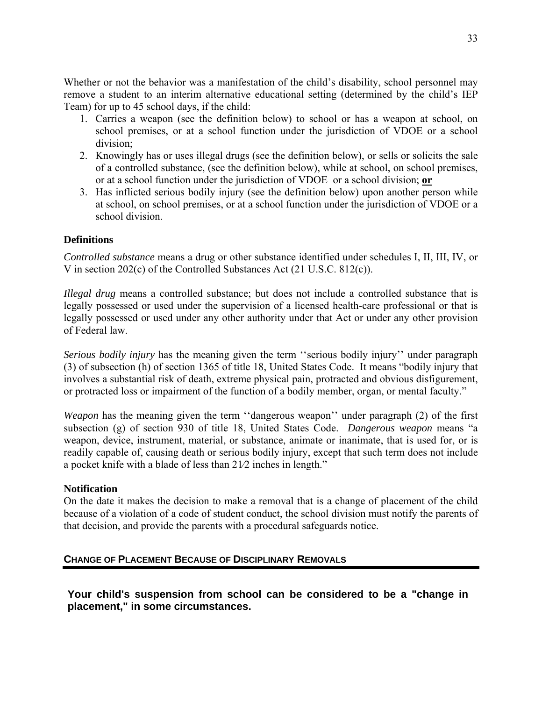<span id="page-35-0"></span>Whether or not the behavior was a manifestation of the child's disability, school personnel may remove a student to an interim alternative educational setting (determined by the child's IEP Team) for up to 45 school days, if the child:

- 1. Carries a weapon (see the definition below) to school or has a weapon at school, on school premises, or at a school function under the jurisdiction of VDOE or a school division;
- 2. Knowingly has or uses illegal drugs (see the definition below), or sells or solicits the sale of a controlled substance, (see the definition below), while at school, on school premises, or at a school function under the jurisdiction of VDOE or a school division; **or**
- 3. Has inflicted serious bodily injury (see the definition below) upon another person while at school, on school premises, or at a school function under the jurisdiction of VDOE or a school division.

# **Definitions**

*Controlled substance* means a drug or other substance identified under schedules I, II, III, IV, or V in section 202(c) of the Controlled Substances Act (21 U.S.C. 812(c)).

*Illegal drug* means a controlled substance; but does not include a controlled substance that is legally possessed or used under the supervision of a licensed health-care professional or that is legally possessed or used under any other authority under that Act or under any other provision of Federal law.

*Serious bodily injury* has the meaning given the term ''serious bodily injury'' under paragraph (3) of subsection (h) of section 1365 of title 18, United States Code. It means "bodily injury that involves a substantial risk of death, extreme physical pain, protracted and obvious disfigurement, or protracted loss or impairment of the function of a bodily member, organ, or mental faculty."

*Weapon* has the meaning given the term "dangerous weapon" under paragraph (2) of the first subsection (g) of section 930 of title 18, United States Code. *Dangerous weapon* means "a weapon, device, instrument, material, or substance, animate or inanimate, that is used for, or is readily capable of, causing death or serious bodily injury, except that such term does not include a pocket knife with a blade of less than 21⁄2 inches in length."

#### **Notification**

On the date it makes the decision to make a removal that is a change of placement of the child because of a violation of a code of student conduct, the school division must notify the parents of that decision, and provide the parents with a procedural safeguards notice.

#### **CHANGE OF PLACEMENT BECAUSE OF DISCIPLINARY REMOVALS**

**Your child's suspension from school can be considered to be a "change in placement," in some circumstances.**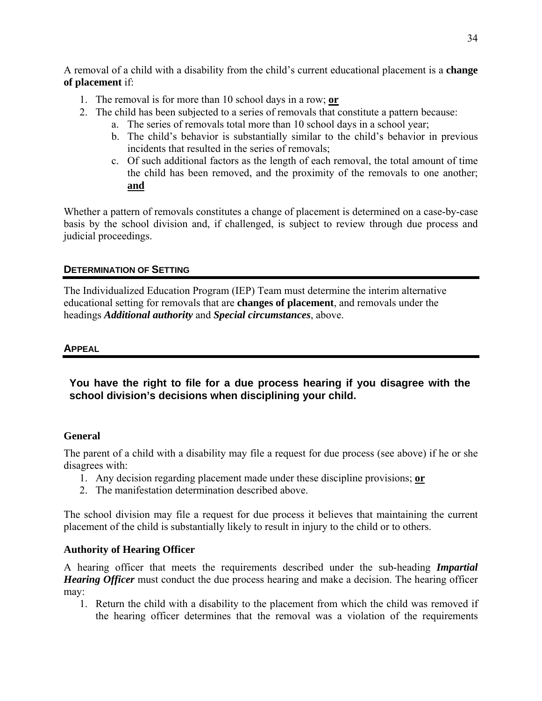<span id="page-36-0"></span>A removal of a child with a disability from the child's current educational placement is a **change of placement** if:

- 1. The removal is for more than 10 school days in a row; **or**
- 2. The child has been subjected to a series of removals that constitute a pattern because:
	- a. The series of removals total more than 10 school days in a school year;
	- b. The child's behavior is substantially similar to the child's behavior in previous incidents that resulted in the series of removals;
	- c. Of such additional factors as the length of each removal, the total amount of time the child has been removed, and the proximity of the removals to one another; **and**

Whether a pattern of removals constitutes a change of placement is determined on a case-by-case basis by the school division and, if challenged, is subject to review through due process and judicial proceedings.

# **DETERMINATION OF SETTING**

The Individualized Education Program (IEP) Team must determine the interim alternative educational setting for removals that are **changes of placement**, and removals under the headings *Additional authority* and *Special circumstances*, above.

# **APPEAL**

**You have the right to file for a due process hearing if you disagree with the school division's decisions when disciplining your child.** 

# **General**

The parent of a child with a disability may file a request for due process (see above) if he or she disagrees with:

- 1. Any decision regarding placement made under these discipline provisions; **or**
- 2. The manifestation determination described above.

The school division may file a request for due process it believes that maintaining the current placement of the child is substantially likely to result in injury to the child or to others.

# **Authority of Hearing Officer**

A hearing officer that meets the requirements described under the sub-heading *Impartial Hearing Officer* must conduct the due process hearing and make a decision. The hearing officer may:

1. Return the child with a disability to the placement from which the child was removed if the hearing officer determines that the removal was a violation of the requirements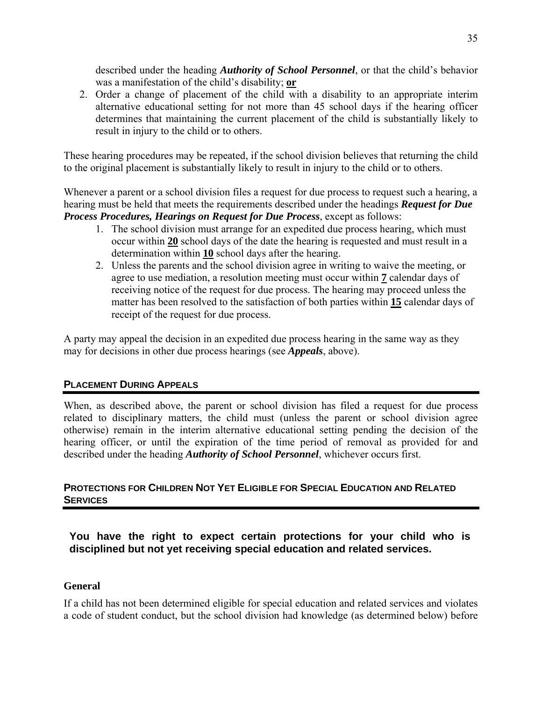<span id="page-37-0"></span>described under the heading *Authority of School Personnel*, or that the child's behavior was a manifestation of the child's disability; **or**

2. Order a change of placement of the child with a disability to an appropriate interim alternative educational setting for not more than 45 school days if the hearing officer determines that maintaining the current placement of the child is substantially likely to result in injury to the child or to others.

These hearing procedures may be repeated, if the school division believes that returning the child to the original placement is substantially likely to result in injury to the child or to others.

Whenever a parent or a school division files a request for due process to request such a hearing, a hearing must be held that meets the requirements described under the headings *Request for Due Process Procedures, Hearings on Request for Due Process*, except as follows:

- 1. The school division must arrange for an expedited due process hearing, which must occur within **20** school days of the date the hearing is requested and must result in a determination within **10** school days after the hearing.
- 2. Unless the parents and the school division agree in writing to waive the meeting, or agree to use mediation, a resolution meeting must occur within **7** calendar days of receiving notice of the request for due process. The hearing may proceed unless the matter has been resolved to the satisfaction of both parties within **15** calendar days of receipt of the request for due process.

A party may appeal the decision in an expedited due process hearing in the same way as they may for decisions in other due process hearings (see *Appeals*, above).

# **PLACEMENT DURING APPEALS**

When, as described above, the parent or school division has filed a request for due process related to disciplinary matters, the child must (unless the parent or school division agree otherwise) remain in the interim alternative educational setting pending the decision of the hearing officer, or until the expiration of the time period of removal as provided for and described under the heading *Authority of School Personnel*, whichever occurs first.

# **PROTECTIONS FOR CHILDREN NOT YET ELIGIBLE FOR SPECIAL EDUCATION AND RELATED SERVICES**

# **You have the right to expect certain protections for your child who is disciplined but not yet receiving special education and related services.**

#### **General**

If a child has not been determined eligible for special education and related services and violates a code of student conduct, but the school division had knowledge (as determined below) before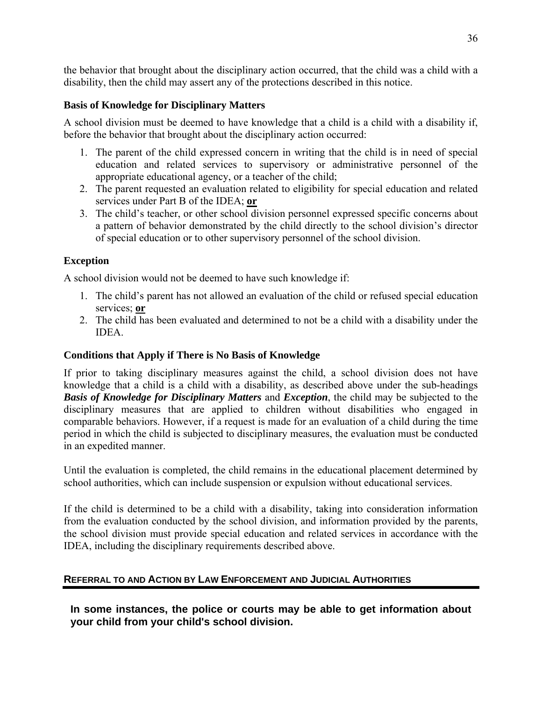<span id="page-38-0"></span>the behavior that brought about the disciplinary action occurred, that the child was a child with a disability, then the child may assert any of the protections described in this notice.

# **Basis of Knowledge for Disciplinary Matters**

A school division must be deemed to have knowledge that a child is a child with a disability if, before the behavior that brought about the disciplinary action occurred:

- 1. The parent of the child expressed concern in writing that the child is in need of special education and related services to supervisory or administrative personnel of the appropriate educational agency, or a teacher of the child;
- 2. The parent requested an evaluation related to eligibility for special education and related services under Part B of the IDEA; **or**
- 3. The child's teacher, or other school division personnel expressed specific concerns about a pattern of behavior demonstrated by the child directly to the school division's director of special education or to other supervisory personnel of the school division.

### **Exception**

A school division would not be deemed to have such knowledge if:

- 1. The child's parent has not allowed an evaluation of the child or refused special education services; **or**
- 2. The child has been evaluated and determined to not be a child with a disability under the **IDEA**

# **Conditions that Apply if There is No Basis of Knowledge**

If prior to taking disciplinary measures against the child, a school division does not have knowledge that a child is a child with a disability, as described above under the sub-headings *Basis of Knowledge for Disciplinary Matters* and *Exception*, the child may be subjected to the disciplinary measures that are applied to children without disabilities who engaged in comparable behaviors. However, if a request is made for an evaluation of a child during the time period in which the child is subjected to disciplinary measures, the evaluation must be conducted in an expedited manner.

Until the evaluation is completed, the child remains in the educational placement determined by school authorities, which can include suspension or expulsion without educational services.

If the child is determined to be a child with a disability, taking into consideration information from the evaluation conducted by the school division, and information provided by the parents, the school division must provide special education and related services in accordance with the IDEA, including the disciplinary requirements described above.

# **REFERRAL TO AND ACTION BY LAW ENFORCEMENT AND JUDICIAL AUTHORITIES**

**In some instances, the police or courts may be able to get information about your child from your child's school division.**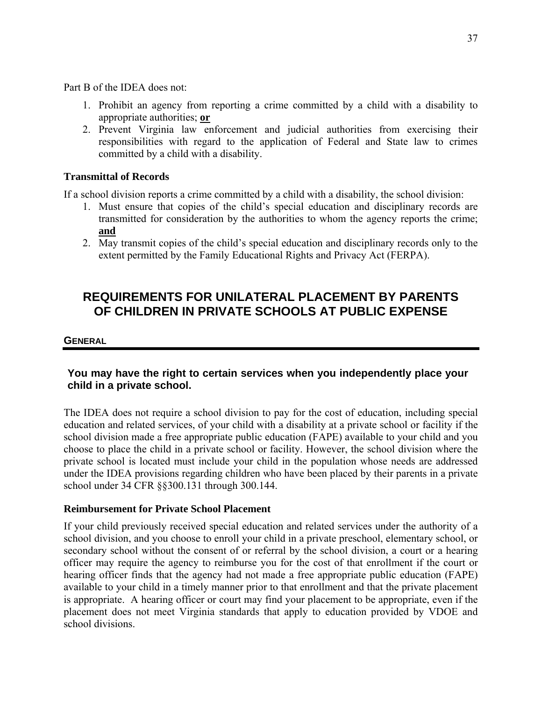<span id="page-39-0"></span>Part B of the IDEA does not:

- 1. Prohibit an agency from reporting a crime committed by a child with a disability to appropriate authorities; **or**
- 2. Prevent Virginia law enforcement and judicial authorities from exercising their responsibilities with regard to the application of Federal and State law to crimes committed by a child with a disability.

#### **Transmittal of Records**

If a school division reports a crime committed by a child with a disability, the school division:

- 1. Must ensure that copies of the child's special education and disciplinary records are transmitted for consideration by the authorities to whom the agency reports the crime; **and**
- 2. May transmit copies of the child's special education and disciplinary records only to the extent permitted by the Family Educational Rights and Privacy Act (FERPA).

# **REQUIREMENTS FOR UNILATERAL PLACEMENT BY PARENTS OF CHILDREN IN PRIVATE SCHOOLS AT PUBLIC EXPENSE**

#### **GENERAL**

# **You may have the right to certain services when you independently place your child in a private school.**

The IDEA does not require a school division to pay for the cost of education, including special education and related services, of your child with a disability at a private school or facility if the school division made a free appropriate public education (FAPE) available to your child and you choose to place the child in a private school or facility. However, the school division where the private school is located must include your child in the population whose needs are addressed under the IDEA provisions regarding children who have been placed by their parents in a private school under 34 CFR §§300.131 through 300.144.

#### **Reimbursement for Private School Placement**

If your child previously received special education and related services under the authority of a school division, and you choose to enroll your child in a private preschool, elementary school, or secondary school without the consent of or referral by the school division, a court or a hearing officer may require the agency to reimburse you for the cost of that enrollment if the court or hearing officer finds that the agency had not made a free appropriate public education (FAPE) available to your child in a timely manner prior to that enrollment and that the private placement is appropriate. A hearing officer or court may find your placement to be appropriate, even if the placement does not meet Virginia standards that apply to education provided by VDOE and school divisions.